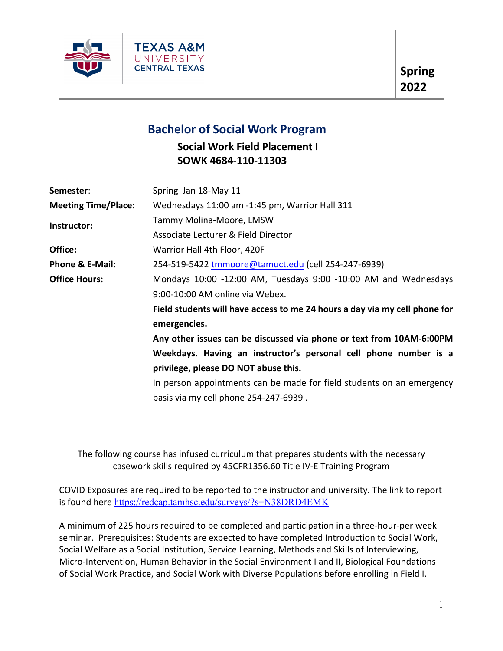

# **Bachelor of Social Work Program**

**Social Work Field Placement I SOWK 4684-110-11303**

| Semester:                  | Spring Jan 18-May 11                                                       |
|----------------------------|----------------------------------------------------------------------------|
| <b>Meeting Time/Place:</b> | Wednesdays 11:00 am -1:45 pm, Warrior Hall 311                             |
| Instructor:                | Tammy Molina-Moore, LMSW                                                   |
|                            | Associate Lecturer & Field Director                                        |
| Office:                    | Warrior Hall 4th Floor, 420F                                               |
| Phone & E-Mail:            | 254-519-5422 tmmoore@tamuct.edu (cell 254-247-6939)                        |
| <b>Office Hours:</b>       | Mondays 10:00 -12:00 AM, Tuesdays 9:00 -10:00 AM and Wednesdays            |
|                            | 9:00-10:00 AM online via Webex.                                            |
|                            | Field students will have access to me 24 hours a day via my cell phone for |
|                            | emergencies.                                                               |
|                            | Any other issues can be discussed via phone or text from 10AM-6:00PM       |
|                            | Weekdays. Having an instructor's personal cell phone number is a           |
|                            | privilege, please DO NOT abuse this.                                       |
|                            | In person appointments can be made for field students on an emergency      |
|                            | basis via my cell phone 254-247-6939.                                      |

The following course has infused curriculum that prepares students with the necessary casework skills required by 45CFR1356.60 Title IV-E Training Program

COVID Exposures are required to be reported to the instructor and university. The link to report is found here [https://redcap.tamhsc.edu/surveys/?s=N38DRD4EMK](https://nam04.safelinks.protection.outlook.com/?url=https%3A%2F%2Fredcap.tamhsc.edu%2Fsurveys%2F%3Fs%3DN38DRD4EMK&data=04%7C01%7Ctmmoore%40tamuct.edu%7C64bcc3defc584cb9922508d9d54bf433%7C9eed4e3000f744849ff193ad8005acec%7C0%7C0%7C637775344451949833%7CUnknown%7CTWFpbGZsb3d8eyJWIjoiMC4wLjAwMDAiLCJQIjoiV2luMzIiLCJBTiI6Ik1haWwiLCJXVCI6Mn0%3D%7C3000&sdata=hjwlJ0OKFXwdiY7Fy2ueYvIenCpm%2FbAPMxkHvsrpMmI%3D&reserved=0) 

A minimum of 225 hours required to be completed and participation in a three-hour-per week seminar. Prerequisites: Students are expected to have completed Introduction to Social Work, Social Welfare as a Social Institution, Service Learning, Methods and Skills of Interviewing, Micro-Intervention, Human Behavior in the Social Environment I and II, Biological Foundations of Social Work Practice, and Social Work with Diverse Populations before enrolling in Field I.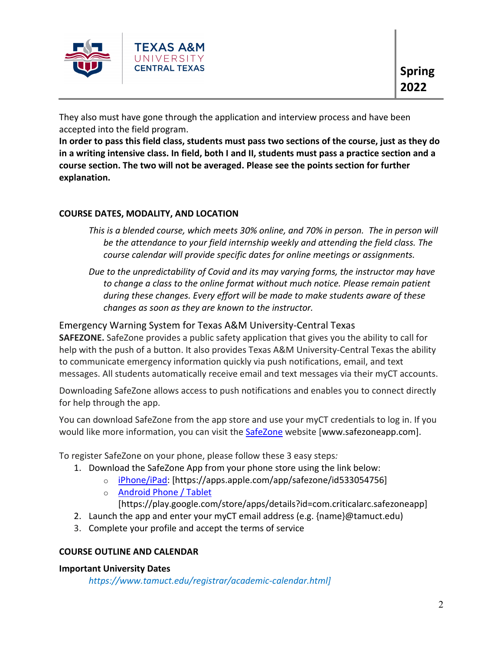

They also must have gone through the application and interview process and have been accepted into the field program.

**In order to pass this field class, students must pass two sections of the course, just as they do in a writing intensive class. In field, both I and II, students must pass a practice section and a course section. The two will not be averaged. Please see the points section for further explanation.** 

# **COURSE DATES, MODALITY, AND LOCATION**

- *This is a blended course, which meets 30% online, and 70% in person. The in person will be the attendance to your field internship weekly and attending the field class. The course calendar will provide specific dates for online meetings or assignments.*
- *Due to the unpredictability of Covid and its may varying forms, the instructor may have to change a class to the online format without much notice. Please remain patient during these changes. Every effort will be made to make students aware of these changes as soon as they are known to the instructor.*

Emergency Warning System for Texas A&M University-Central Texas **SAFEZONE.** SafeZone provides a public safety application that gives you the ability to call for help with the push of a button. It also provides Texas A&M University-Central Texas the ability to communicate emergency information quickly via push notifications, email, and text messages. All students automatically receive email and text messages via their myCT accounts.

Downloading SafeZone allows access to push notifications and enables you to connect directly for help through the app.

You can download SafeZone from the app store and use your myCT credentials to log in. If you would like more information, you can visit the **[SafeZone](http://www.safezoneapp.com/)** website [www.safezoneapp.com].

To register SafeZone on your phone, please follow these 3 easy steps*:*

- 1. Download the SafeZone App from your phone store using the link below:
	- o [iPhone/iPad:](https://apps.apple.com/app/safezone/id533054756) [https://apps.apple.com/app/safezone/id533054756]
	- o [Android Phone / Tablet](https://play.google.com/store/apps/details?id=com.criticalarc.safezoneapp)

[https://play.google.com/store/apps/details?id=com.criticalarc.safezoneapp]

- 2. Launch the app and enter your myCT email address (e.g. {name}@tamuct.edu)
- 3. Complete your profile and accept the terms of service

#### **COURSE OUTLINE AND CALENDAR**

#### **Important University Dates**

*https://www.tamuct.edu/registrar/academic-calendar.html]*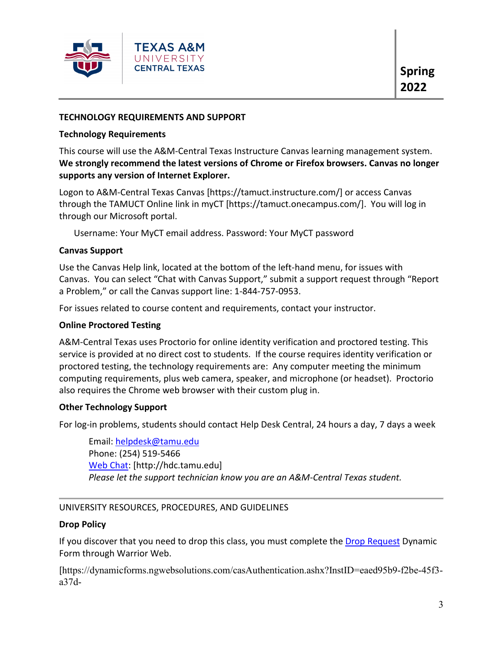

# **TECHNOLOGY REQUIREMENTS AND SUPPORT**

#### **Technology Requirements**

This course will use the A&M-Central Texas Instructure Canvas learning management system. **We strongly recommend the latest versions of Chrome or Firefox browsers. Canvas no longer supports any version of Internet Explorer.**

Logon to A&M-Central Texas Canvas [https://tamuct.instructure.com/] or access Canvas through the TAMUCT Online link in myCT [https://tamuct.onecampus.com/]. You will log in through our Microsoft portal.

Username: Your MyCT email address. Password: Your MyCT password

## **Canvas Support**

Use the Canvas Help link, located at the bottom of the left-hand menu, for issues with Canvas. You can select "Chat with Canvas Support," submit a support request through "Report a Problem," or call the Canvas support line: 1-844-757-0953.

For issues related to course content and requirements, contact your instructor.

## **Online Proctored Testing**

A&M-Central Texas uses Proctorio for online identity verification and proctored testing. This service is provided at no direct cost to students. If the course requires identity verification or proctored testing, the technology requirements are: Any computer meeting the minimum computing requirements, plus web camera, speaker, and microphone (or headset). Proctorio also requires the Chrome web browser with their custom plug in.

#### **Other Technology Support**

For log-in problems, students should contact Help Desk Central, 24 hours a day, 7 days a week

Email: [helpdesk@tamu.edu](mailto:helpdesk@tamu.edu) Phone: (254) 519-5466 [Web Chat:](http://hdc.tamu.edu/) [http://hdc.tamu.edu] *Please let the support technician know you are an A&M-Central Texas student.*

#### UNIVERSITY RESOURCES, PROCEDURES, AND GUIDELINES

#### **Drop Policy**

If you discover that you need to drop this class, you must complete the [Drop Request](https://dynamicforms.ngwebsolutions.com/casAuthentication.ashx?InstID=eaed95b9-f2be-45f3-a37d-46928168bc10&targetUrl=https%3A%2F%2Fdynamicforms.ngwebsolutions.com%2FSubmit%2FForm%2FStart%2F53b8369e-0502-4f36-be43-f02a4202f612) Dynamic Form through Warrior Web.

[https://dynamicforms.ngwebsolutions.com/casAuthentication.ashx?InstID=eaed95b9-f2be-45f3 a37d-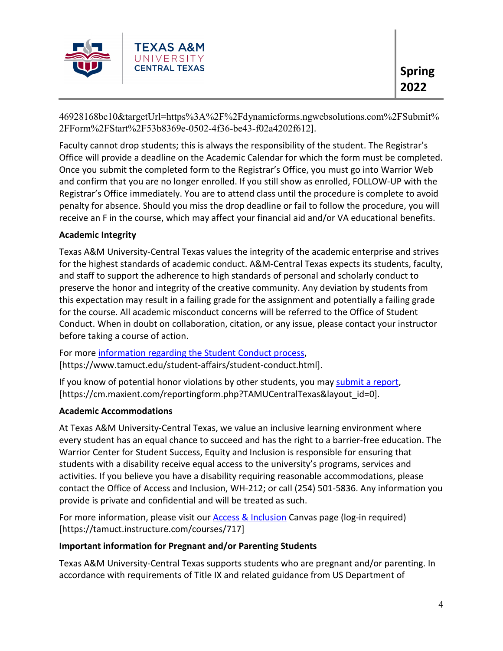

46928168bc10&targetUrl=https%3A%2F%2Fdynamicforms.ngwebsolutions.com%2FSubmit% 2FForm%2FStart%2F53b8369e-0502-4f36-be43-f02a4202f612].

Faculty cannot drop students; this is always the responsibility of the student. The Registrar's Office will provide a deadline on the Academic Calendar for which the form must be completed. Once you submit the completed form to the Registrar's Office, you must go into Warrior Web and confirm that you are no longer enrolled. If you still show as enrolled, FOLLOW-UP with the Registrar's Office immediately. You are to attend class until the procedure is complete to avoid penalty for absence. Should you miss the drop deadline or fail to follow the procedure, you will receive an F in the course, which may affect your financial aid and/or VA educational benefits.

## **Academic Integrity**

Texas A&M University-Central Texas values the integrity of the academic enterprise and strives for the highest standards of academic conduct. A&M-Central Texas expects its students, faculty, and staff to support the adherence to high standards of personal and scholarly conduct to preserve the honor and integrity of the creative community. Any deviation by students from this expectation may result in a failing grade for the assignment and potentially a failing grade for the course. All academic misconduct concerns will be referred to the Office of Student Conduct. When in doubt on collaboration, citation, or any issue, please contact your instructor before taking a course of action.

For more [information](https://nam04.safelinks.protection.outlook.com/?url=https%3A%2F%2Fwww.tamuct.edu%2Fstudent-affairs%2Fstudent-conduct.html&data=04%7C01%7Clisa.bunkowski%40tamuct.edu%7Ccfb6e486f24745f53e1a08d910055cb2%7C9eed4e3000f744849ff193ad8005acec%7C0%7C0%7C637558437485252160%7CUnknown%7CTWFpbGZsb3d8eyJWIjoiMC4wLjAwMDAiLCJQIjoiV2luMzIiLCJBTiI6Ik1haWwiLCJXVCI6Mn0%3D%7C1000&sdata=yjftDEVHvLX%2FhM%2FcFU0B99krV1RgEWR%2BJ%2BhvtoR6TYk%3D&reserved=0) regarding the Student Conduct process, [https://www.tamuct.edu/student-affairs/student-conduct.html].

If you know of potential honor violations by other students, you may [submit](https://nam04.safelinks.protection.outlook.com/?url=https%3A%2F%2Fcm.maxient.com%2Freportingform.php%3FTAMUCentralTexas%26layout_id%3D0&data=04%7C01%7Clisa.bunkowski%40tamuct.edu%7Ccfb6e486f24745f53e1a08d910055cb2%7C9eed4e3000f744849ff193ad8005acec%7C0%7C0%7C637558437485262157%7CUnknown%7CTWFpbGZsb3d8eyJWIjoiMC4wLjAwMDAiLCJQIjoiV2luMzIiLCJBTiI6Ik1haWwiLCJXVCI6Mn0%3D%7C1000&sdata=CXGkOa6uPDPX1IMZ87z3aZDq2n91xfHKu4MMS43Ejjk%3D&reserved=0) a report, [https://cm.maxient.com/reportingform.php?TAMUCentralTexas&layout\_id=0].

#### **Academic Accommodations**

At Texas A&M University-Central Texas, we value an inclusive learning environment where every student has an equal chance to succeed and has the right to a barrier-free education. The Warrior Center for Student Success, Equity and Inclusion is responsible for ensuring that students with a disability receive equal access to the university's programs, services and activities. If you believe you have a disability requiring reasonable accommodations, please contact the Office of Access and Inclusion, WH-212; or call (254) 501-5836. Any information you provide is private and confidential and will be treated as such.

For more information, please visit our **Access & Inclusion** Canvas page (log-in required) [https://tamuct.instructure.com/courses/717]

# **Important information for Pregnant and/or Parenting Students**

Texas A&M University-Central Texas supports students who are pregnant and/or parenting. In accordance with requirements of Title IX and related guidance from US Department of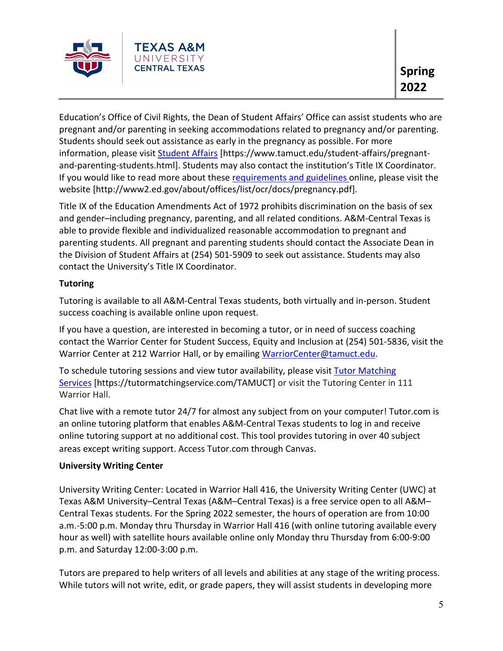

Education's Office of Civil Rights, the Dean of Student Affairs' Office can assist students who are pregnant and/or parenting in seeking accommodations related to pregnancy and/or parenting. Students should seek out assistance as early in the pregnancy as possible. For more information, please visit [Student Affairs](https://www.tamuct.edu/student-affairs/pregnant-and-parenting-students.html) [https://www.tamuct.edu/student-affairs/pregnantand-parenting-students.html]. Students may also contact the institution's Title IX Coordinator. If you would like to read more about thes[e requirements and guidelines](http://www2.ed.gov/about/offices/list/ocr/docs/pregnancy.pdf) online, please visit the website [http://www2.ed.gov/about/offices/list/ocr/docs/pregnancy.pdf].

Title IX of the Education Amendments Act of 1972 prohibits discrimination on the basis of sex and gender–including pregnancy, parenting, and all related conditions. A&M-Central Texas is able to provide flexible and individualized reasonable accommodation to pregnant and parenting students. All pregnant and parenting students should contact the Associate Dean in the Division of Student Affairs at (254) 501-5909 to seek out assistance. Students may also contact the University's Title IX Coordinator.

## **Tutoring**

Tutoring is available to all A&M-Central Texas students, both virtually and in-person. Student success coaching is available online upon request.

If you have a question, are interested in becoming a tutor, or in need of success coaching contact the Warrior Center for Student Success, Equity and Inclusion at (254) 501-5836, visit the Warrior Center at 212 Warrior Hall, or by emailing [WarriorCenter@tamuct.edu.](mailto:WarriorCenter@tamuct.edu)

To schedule tutoring sessions and view tutor availability, please visit Tutor [Matching](https://nam04.safelinks.protection.outlook.com/?url=http%3A%2F%2Fwww.tutormatchingservices.com%2FTAMUCT&data=04%7C01%7Clisa.bunkowski%40tamuct.edu%7C886784139069461670c308d9aa01f55e%7C9eed4e3000f744849ff193ad8005acec%7C0%7C0%7C637727747643427346%7CUnknown%7CTWFpbGZsb3d8eyJWIjoiMC4wLjAwMDAiLCJQIjoiV2luMzIiLCJBTiI6Ik1haWwiLCJXVCI6Mn0%3D%7C3000&sdata=D%2F8HN2bUT1lLPfs5qSqKYlwh8a7pZVy7isM2gppluQE%3D&reserved=0) [Services](https://nam04.safelinks.protection.outlook.com/?url=http%3A%2F%2Fwww.tutormatchingservices.com%2FTAMUCT&data=04%7C01%7Clisa.bunkowski%40tamuct.edu%7C886784139069461670c308d9aa01f55e%7C9eed4e3000f744849ff193ad8005acec%7C0%7C0%7C637727747643427346%7CUnknown%7CTWFpbGZsb3d8eyJWIjoiMC4wLjAwMDAiLCJQIjoiV2luMzIiLCJBTiI6Ik1haWwiLCJXVCI6Mn0%3D%7C3000&sdata=D%2F8HN2bUT1lLPfs5qSqKYlwh8a7pZVy7isM2gppluQE%3D&reserved=0) [https://tutormatchingservice.com/TAMUCT] or visit the Tutoring Center in 111 Warrior Hall.

Chat live with a remote tutor 24/7 for almost any subject from on your computer! Tutor.com is an online tutoring platform that enables A&M-Central Texas students to log in and receive online tutoring support at no additional cost. This tool provides tutoring in over 40 subject areas except writing support. Access Tutor.com through Canvas.

# **University Writing Center**

University Writing Center: Located in Warrior Hall 416, the University Writing Center (UWC) at Texas A&M University–Central Texas (A&M–Central Texas) is a free service open to all A&M– Central Texas students. For the Spring 2022 semester, the hours of operation are from 10:00 a.m.-5:00 p.m. Monday thru Thursday in Warrior Hall 416 (with online tutoring available every hour as well) with satellite hours available online only Monday thru Thursday from 6:00-9:00 p.m. and Saturday 12:00-3:00 p.m.

Tutors are prepared to help writers of all levels and abilities at any stage of the writing process. While tutors will not write, edit, or grade papers, they will assist students in developing more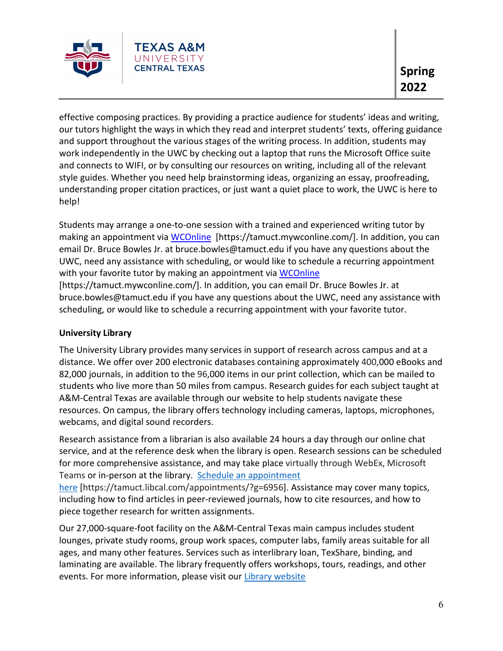

effective composing practices. By providing a practice audience for students' ideas and writing, our tutors highlight the ways in which they read and interpret students' texts, offering guidance and support throughout the various stages of the writing process. In addition, students may work independently in the UWC by checking out a laptop that runs the Microsoft Office suite and connects to WIFI, or by consulting our resources on writing, including all of the relevant style guides. Whether you need help brainstorming ideas, organizing an essay, proofreading, understanding proper citation practices, or just want a quiet place to work, the UWC is here to help!

Students may arrange a one-to-one session with a trained and experienced writing tutor by making an appointment via [WCOnline](https://tamuct.mywconline.com/) [https://tamuct.mywconline.com/]. In addition, you can email Dr. Bruce Bowles Jr. at bruce.bowles@tamuct.edu if you have any questions about the UWC, need any assistance with scheduling, or would like to schedule a recurring appointment with your favorite tutor by making an appointment via [WCOnline](https://tamuct.mywconline.com/)

[https://tamuct.mywconline.com/]. In addition, you can email Dr. Bruce Bowles Jr. at bruce.bowles@tamuct.edu if you have any questions about the UWC, need any assistance with scheduling, or would like to schedule a recurring appointment with your favorite tutor.

# **University Library**

The University Library provides many services in support of research across campus and at a distance. We offer over 200 electronic databases containing approximately 400,000 eBooks and 82,000 journals, in addition to the 96,000 items in our print collection, which can be mailed to students who live more than 50 miles from campus. Research guides for each subject taught at A&M-Central Texas are available through our website to help students navigate these resources. On campus, the library offers technology including cameras, laptops, microphones, webcams, and digital sound recorders.

Research assistance from a librarian is also available 24 hours a day through our online chat service, and at the reference desk when the library is open. Research sessions can be scheduled for more comprehensive assistance, and may take place virtually through WebEx, Microsoft Teams or in-person at the library. Schedule an [appointment](https://nam04.safelinks.protection.outlook.com/?url=https%3A%2F%2Ftamuct.libcal.com%2Fappointments%2F%3Fg%3D6956&data=04%7C01%7Clisa.bunkowski%40tamuct.edu%7Cde2c07d9f5804f09518008d9ab7ba6ff%7C9eed4e3000f744849ff193ad8005acec%7C0%7C0%7C637729369835011558%7CUnknown%7CTWFpbGZsb3d8eyJWIjoiMC4wLjAwMDAiLCJQIjoiV2luMzIiLCJBTiI6Ik1haWwiLCJXVCI6Mn0%3D%7C3000&sdata=KhtjgRSAw9aq%2FoBsB6wyu8b7PSuGN5EGPypzr3Ty2No%3D&reserved=0)

[here](https://nam04.safelinks.protection.outlook.com/?url=https%3A%2F%2Ftamuct.libcal.com%2Fappointments%2F%3Fg%3D6956&data=04%7C01%7Clisa.bunkowski%40tamuct.edu%7Cde2c07d9f5804f09518008d9ab7ba6ff%7C9eed4e3000f744849ff193ad8005acec%7C0%7C0%7C637729369835011558%7CUnknown%7CTWFpbGZsb3d8eyJWIjoiMC4wLjAwMDAiLCJQIjoiV2luMzIiLCJBTiI6Ik1haWwiLCJXVCI6Mn0%3D%7C3000&sdata=KhtjgRSAw9aq%2FoBsB6wyu8b7PSuGN5EGPypzr3Ty2No%3D&reserved=0) [https://tamuct.libcal.com/appointments/?g=6956]. Assistance may cover many topics, including how to find articles in peer-reviewed journals, how to cite resources, and how to piece together research for written assignments.

Our 27,000-square-foot facility on the A&M-Central Texas main campus includes student lounges, private study rooms, group work spaces, computer labs, family areas suitable for all ages, and many other features. Services such as interlibrary loan, TexShare, binding, and laminating are available. The library frequently offers workshops, tours, readings, and other events. For more information, please visit our Library [website](https://nam04.safelinks.protection.outlook.com/?url=https%3A%2F%2Ftamuct.libguides.com%2Findex&data=04%7C01%7Clisa.bunkowski%40tamuct.edu%7C7d8489e8839a4915335f08d916f067f2%7C9eed4e3000f744849ff193ad8005acec%7C0%7C0%7C637566044056484222%7CUnknown%7CTWFpbGZsb3d8eyJWIjoiMC4wLjAwMDAiLCJQIjoiV2luMzIiLCJBTiI6Ik1haWwiLCJXVCI6Mn0%3D%7C1000&sdata=2R755V6rcIyedGrd4Os5rkgn1PvhHKU3kUV1vBKiHFo%3D&reserved=0)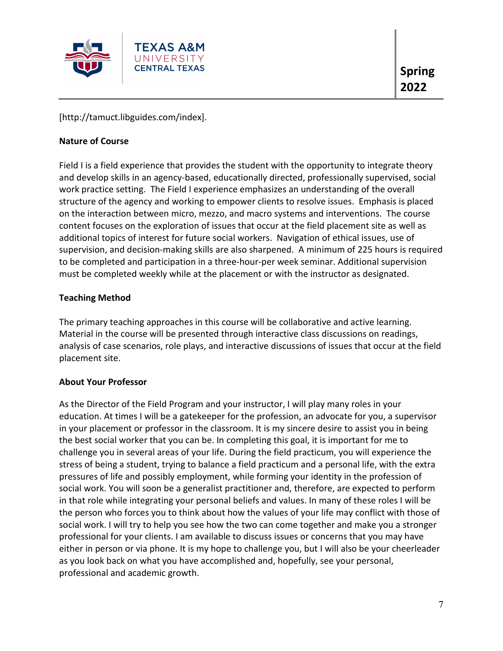

[http://tamuct.libguides.com/index].

## **Nature of Course**

Field I is a field experience that provides the student with the opportunity to integrate theory and develop skills in an agency-based, educationally directed, professionally supervised, social work practice setting. The Field I experience emphasizes an understanding of the overall structure of the agency and working to empower clients to resolve issues. Emphasis is placed on the interaction between micro, mezzo, and macro systems and interventions. The course content focuses on the exploration of issues that occur at the field placement site as well as additional topics of interest for future social workers. Navigation of ethical issues, use of supervision, and decision-making skills are also sharpened. A minimum of 225 hours is required to be completed and participation in a three-hour-per week seminar. Additional supervision must be completed weekly while at the placement or with the instructor as designated.

# **Teaching Method**

The primary teaching approaches in this course will be collaborative and active learning. Material in the course will be presented through interactive class discussions on readings, analysis of case scenarios, role plays, and interactive discussions of issues that occur at the field placement site.

# **About Your Professor**

As the Director of the Field Program and your instructor, I will play many roles in your education. At times I will be a gatekeeper for the profession, an advocate for you, a supervisor in your placement or professor in the classroom. It is my sincere desire to assist you in being the best social worker that you can be. In completing this goal, it is important for me to challenge you in several areas of your life. During the field practicum, you will experience the stress of being a student, trying to balance a field practicum and a personal life, with the extra pressures of life and possibly employment, while forming your identity in the profession of social work. You will soon be a generalist practitioner and, therefore, are expected to perform in that role while integrating your personal beliefs and values. In many of these roles I will be the person who forces you to think about how the values of your life may conflict with those of social work. I will try to help you see how the two can come together and make you a stronger professional for your clients. I am available to discuss issues or concerns that you may have either in person or via phone. It is my hope to challenge you, but I will also be your cheerleader as you look back on what you have accomplished and, hopefully, see your personal, professional and academic growth.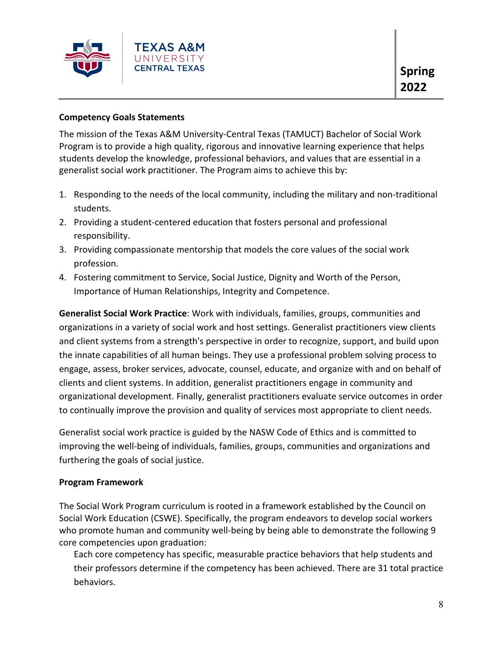

#### **Competency Goals Statements**

The mission of the Texas A&M University-Central Texas (TAMUCT) Bachelor of Social Work Program is to provide a high quality, rigorous and innovative learning experience that helps students develop the knowledge, professional behaviors, and values that are essential in a generalist social work practitioner. The Program aims to achieve this by:

- 1. Responding to the needs of the local community, including the military and non-traditional students.
- 2. Providing a student-centered education that fosters personal and professional responsibility.
- 3. Providing compassionate mentorship that models the core values of the social work profession.
- 4. Fostering commitment to Service, Social Justice, Dignity and Worth of the Person, Importance of Human Relationships, Integrity and Competence.

**Generalist Social Work Practice**: Work with individuals, families, groups, communities and organizations in a variety of social work and host settings. Generalist practitioners view clients and client systems from a strength's perspective in order to recognize, support, and build upon the innate capabilities of all human beings. They use a professional problem solving process to engage, assess, broker services, advocate, counsel, educate, and organize with and on behalf of clients and client systems. In addition, generalist practitioners engage in community and organizational development. Finally, generalist practitioners evaluate service outcomes in order to continually improve the provision and quality of services most appropriate to client needs.

Generalist social work practice is guided by the NASW Code of Ethics and is committed to improving the well-being of individuals, families, groups, communities and organizations and furthering the goals of social justice.

#### **Program Framework**

The Social Work Program curriculum is rooted in a framework established by the Council on Social Work Education (CSWE). Specifically, the program endeavors to develop social workers who promote human and community well-being by being able to demonstrate the following 9 core competencies upon graduation:

Each core competency has specific, measurable practice behaviors that help students and their professors determine if the competency has been achieved. There are 31 total practice behaviors.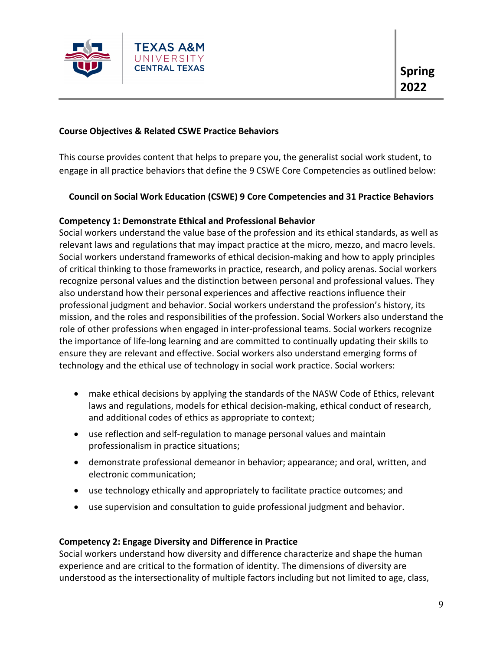

#### **Course Objectives & Related CSWE Practice Behaviors**

This course provides content that helps to prepare you, the generalist social work student, to engage in all practice behaviors that define the 9 CSWE Core Competencies as outlined below:

## **Council on Social Work Education (CSWE) 9 Core Competencies and 31 Practice Behaviors**

#### **Competency 1: Demonstrate Ethical and Professional Behavior**

Social workers understand the value base of the profession and its ethical standards, as well as relevant laws and regulations that may impact practice at the micro, mezzo, and macro levels. Social workers understand frameworks of ethical decision-making and how to apply principles of critical thinking to those frameworks in practice, research, and policy arenas. Social workers recognize personal values and the distinction between personal and professional values. They also understand how their personal experiences and affective reactions influence their professional judgment and behavior. Social workers understand the profession's history, its mission, and the roles and responsibilities of the profession. Social Workers also understand the role of other professions when engaged in inter-professional teams. Social workers recognize the importance of life-long learning and are committed to continually updating their skills to ensure they are relevant and effective. Social workers also understand emerging forms of technology and the ethical use of technology in social work practice. Social workers:

- make ethical decisions by applying the standards of the NASW Code of Ethics, relevant laws and regulations, models for ethical decision-making, ethical conduct of research, and additional codes of ethics as appropriate to context;
- use reflection and self-regulation to manage personal values and maintain professionalism in practice situations;
- demonstrate professional demeanor in behavior; appearance; and oral, written, and electronic communication;
- use technology ethically and appropriately to facilitate practice outcomes; and
- use supervision and consultation to guide professional judgment and behavior.

#### **Competency 2: Engage Diversity and Difference in Practice**

Social workers understand how diversity and difference characterize and shape the human experience and are critical to the formation of identity. The dimensions of diversity are understood as the intersectionality of multiple factors including but not limited to age, class,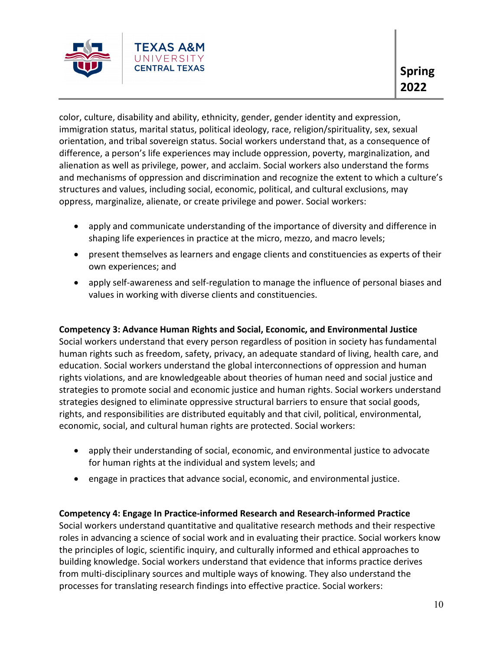

color, culture, disability and ability, ethnicity, gender, gender identity and expression, immigration status, marital status, political ideology, race, religion/spirituality, sex, sexual orientation, and tribal sovereign status. Social workers understand that, as a consequence of difference, a person's life experiences may include oppression, poverty, marginalization, and alienation as well as privilege, power, and acclaim. Social workers also understand the forms and mechanisms of oppression and discrimination and recognize the extent to which a culture's structures and values, including social, economic, political, and cultural exclusions, may oppress, marginalize, alienate, or create privilege and power. Social workers:

- apply and communicate understanding of the importance of diversity and difference in shaping life experiences in practice at the micro, mezzo, and macro levels;
- present themselves as learners and engage clients and constituencies as experts of their own experiences; and
- apply self-awareness and self-regulation to manage the influence of personal biases and values in working with diverse clients and constituencies.

#### **Competency 3: Advance Human Rights and Social, Economic, and Environmental Justice**

Social workers understand that every person regardless of position in society has fundamental human rights such as freedom, safety, privacy, an adequate standard of living, health care, and education. Social workers understand the global interconnections of oppression and human rights violations, and are knowledgeable about theories of human need and social justice and strategies to promote social and economic justice and human rights. Social workers understand strategies designed to eliminate oppressive structural barriers to ensure that social goods, rights, and responsibilities are distributed equitably and that civil, political, environmental, economic, social, and cultural human rights are protected. Social workers:

- apply their understanding of social, economic, and environmental justice to advocate for human rights at the individual and system levels; and
- engage in practices that advance social, economic, and environmental justice.

# **Competency 4: Engage In Practice-informed Research and Research-informed Practice**

Social workers understand quantitative and qualitative research methods and their respective roles in advancing a science of social work and in evaluating their practice. Social workers know the principles of logic, scientific inquiry, and culturally informed and ethical approaches to building knowledge. Social workers understand that evidence that informs practice derives from multi-disciplinary sources and multiple ways of knowing. They also understand the processes for translating research findings into effective practice. Social workers: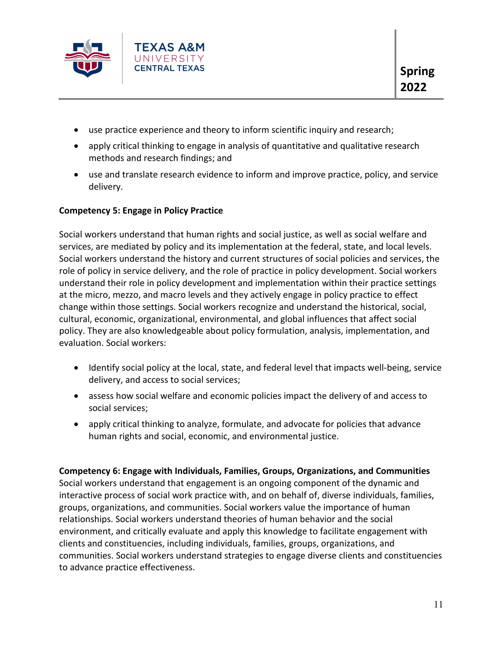

- use practice experience and theory to inform scientific inquiry and research;
- apply critical thinking to engage in analysis of quantitative and qualitative research methods and research findings; and
- use and translate research evidence to inform and improve practice, policy, and service delivery.

## **Competency 5: Engage in Policy Practice**

Social workers understand that human rights and social justice, as well as social welfare and services, are mediated by policy and its implementation at the federal, state, and local levels. Social workers understand the history and current structures of social policies and services, the role of policy in service delivery, and the role of practice in policy development. Social workers understand their role in policy development and implementation within their practice settings at the micro, mezzo, and macro levels and they actively engage in policy practice to effect change within those settings. Social workers recognize and understand the historical, social, cultural, economic, organizational, environmental, and global influences that affect social policy. They are also knowledgeable about policy formulation, analysis, implementation, and evaluation. Social workers:

- Identify social policy at the local, state, and federal level that impacts well-being, service delivery, and access to social services;
- assess how social welfare and economic policies impact the delivery of and access to social services;
- apply critical thinking to analyze, formulate, and advocate for policies that advance human rights and social, economic, and environmental justice.

**Competency 6: Engage with Individuals, Families, Groups, Organizations, and Communities**  Social workers understand that engagement is an ongoing component of the dynamic and interactive process of social work practice with, and on behalf of, diverse individuals, families, groups, organizations, and communities. Social workers value the importance of human relationships. Social workers understand theories of human behavior and the social environment, and critically evaluate and apply this knowledge to facilitate engagement with clients and constituencies, including individuals, families, groups, organizations, and communities. Social workers understand strategies to engage diverse clients and constituencies to advance practice effectiveness.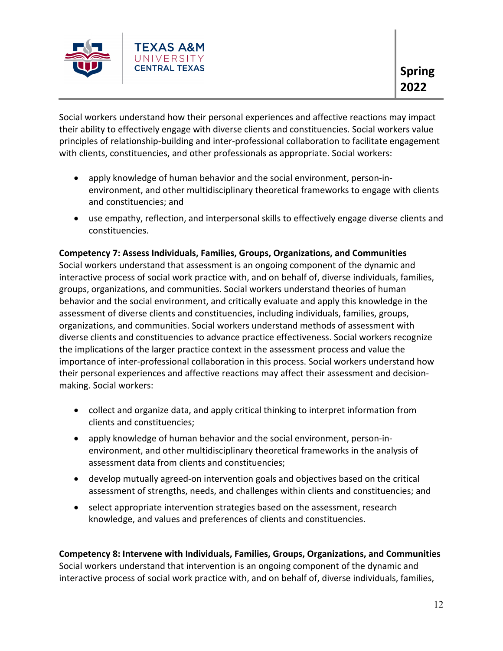

Social workers understand how their personal experiences and affective reactions may impact their ability to effectively engage with diverse clients and constituencies. Social workers value principles of relationship-building and inter-professional collaboration to facilitate engagement with clients, constituencies, and other professionals as appropriate. Social workers:

- apply knowledge of human behavior and the social environment, person-inenvironment, and other multidisciplinary theoretical frameworks to engage with clients and constituencies; and
- use empathy, reflection, and interpersonal skills to effectively engage diverse clients and constituencies.

# **Competency 7: Assess Individuals, Families, Groups, Organizations, and Communities**

Social workers understand that assessment is an ongoing component of the dynamic and interactive process of social work practice with, and on behalf of, diverse individuals, families, groups, organizations, and communities. Social workers understand theories of human behavior and the social environment, and critically evaluate and apply this knowledge in the assessment of diverse clients and constituencies, including individuals, families, groups, organizations, and communities. Social workers understand methods of assessment with diverse clients and constituencies to advance practice effectiveness. Social workers recognize the implications of the larger practice context in the assessment process and value the importance of inter-professional collaboration in this process. Social workers understand how their personal experiences and affective reactions may affect their assessment and decisionmaking. Social workers:

- collect and organize data, and apply critical thinking to interpret information from clients and constituencies;
- apply knowledge of human behavior and the social environment, person-inenvironment, and other multidisciplinary theoretical frameworks in the analysis of assessment data from clients and constituencies;
- develop mutually agreed-on intervention goals and objectives based on the critical assessment of strengths, needs, and challenges within clients and constituencies; and
- select appropriate intervention strategies based on the assessment, research knowledge, and values and preferences of clients and constituencies.

**Competency 8: Intervene with Individuals, Families, Groups, Organizations, and Communities**  Social workers understand that intervention is an ongoing component of the dynamic and interactive process of social work practice with, and on behalf of, diverse individuals, families,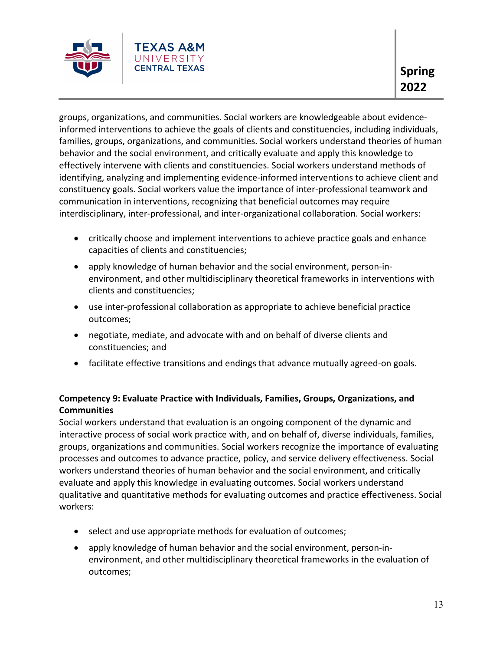

groups, organizations, and communities. Social workers are knowledgeable about evidenceinformed interventions to achieve the goals of clients and constituencies, including individuals, families, groups, organizations, and communities. Social workers understand theories of human behavior and the social environment, and critically evaluate and apply this knowledge to effectively intervene with clients and constituencies. Social workers understand methods of identifying, analyzing and implementing evidence-informed interventions to achieve client and constituency goals. Social workers value the importance of inter-professional teamwork and communication in interventions, recognizing that beneficial outcomes may require interdisciplinary, inter-professional, and inter-organizational collaboration. Social workers:

- critically choose and implement interventions to achieve practice goals and enhance capacities of clients and constituencies;
- apply knowledge of human behavior and the social environment, person-inenvironment, and other multidisciplinary theoretical frameworks in interventions with clients and constituencies;
- use inter-professional collaboration as appropriate to achieve beneficial practice outcomes;
- negotiate, mediate, and advocate with and on behalf of diverse clients and constituencies; and
- facilitate effective transitions and endings that advance mutually agreed-on goals.

# **Competency 9: Evaluate Practice with Individuals, Families, Groups, Organizations, and Communities**

Social workers understand that evaluation is an ongoing component of the dynamic and interactive process of social work practice with, and on behalf of, diverse individuals, families, groups, organizations and communities. Social workers recognize the importance of evaluating processes and outcomes to advance practice, policy, and service delivery effectiveness. Social workers understand theories of human behavior and the social environment, and critically evaluate and apply this knowledge in evaluating outcomes. Social workers understand qualitative and quantitative methods for evaluating outcomes and practice effectiveness. Social workers:

- select and use appropriate methods for evaluation of outcomes;
- apply knowledge of human behavior and the social environment, person-inenvironment, and other multidisciplinary theoretical frameworks in the evaluation of outcomes;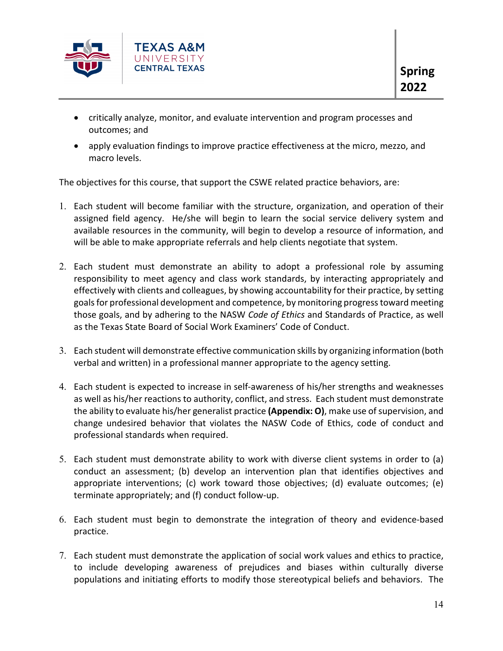

- critically analyze, monitor, and evaluate intervention and program processes and outcomes; and
- apply evaluation findings to improve practice effectiveness at the micro, mezzo, and macro levels.

The objectives for this course, that support the CSWE related practice behaviors, are:

- 1. Each student will become familiar with the structure, organization, and operation of their assigned field agency. He/she will begin to learn the social service delivery system and available resources in the community, will begin to develop a resource of information, and will be able to make appropriate referrals and help clients negotiate that system.
- 2. Each student must demonstrate an ability to adopt a professional role by assuming responsibility to meet agency and class work standards, by interacting appropriately and effectively with clients and colleagues, by showing accountability for their practice, by setting goals for professional development and competence, by monitoring progress toward meeting those goals, and by adhering to the NASW *Code of Ethics* and Standards of Practice, as well as the Texas State Board of Social Work Examiners' Code of Conduct.
- 3. Each student will demonstrate effective communication skills by organizing information (both verbal and written) in a professional manner appropriate to the agency setting.
- 4. Each student is expected to increase in self-awareness of his/her strengths and weaknesses as well as his/her reactions to authority, conflict, and stress. Each student must demonstrate the ability to evaluate his/her generalist practice **(Appendix: O)**, make use of supervision, and change undesired behavior that violates the NASW Code of Ethics, code of conduct and professional standards when required.
- 5. Each student must demonstrate ability to work with diverse client systems in order to (a) conduct an assessment; (b) develop an intervention plan that identifies objectives and appropriate interventions; (c) work toward those objectives; (d) evaluate outcomes; (e) terminate appropriately; and (f) conduct follow-up.
- 6. Each student must begin to demonstrate the integration of theory and evidence-based practice.
- 7. Each student must demonstrate the application of social work values and ethics to practice, to include developing awareness of prejudices and biases within culturally diverse populations and initiating efforts to modify those stereotypical beliefs and behaviors. The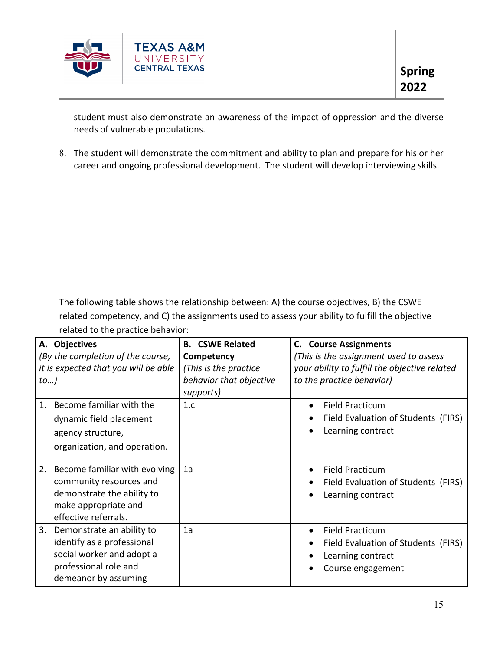

student must also demonstrate an awareness of the impact of oppression and the diverse needs of vulnerable populations.

8. The student will demonstrate the commitment and ability to plan and prepare for his or her career and ongoing professional development. The student will develop interviewing skills.

The following table shows the relationship between: A) the course objectives, B) the CSWE related competency, and C) the assignments used to assess your ability to fulfill the objective related to the practice behavior:

| A. Objectives<br>(By the completion of the course,<br>it is expected that you will be able<br>to)                                            | <b>B. CSWE Related</b><br>Competency<br>(This is the practice<br>behavior that objective<br>supports) | <b>C.</b> Course Assignments<br>(This is the assignment used to assess<br>your ability to fulfill the objective related<br>to the practice behavior) |
|----------------------------------------------------------------------------------------------------------------------------------------------|-------------------------------------------------------------------------------------------------------|------------------------------------------------------------------------------------------------------------------------------------------------------|
| Become familiar with the<br>1.<br>dynamic field placement<br>agency structure,<br>organization, and operation.                               | 1.c                                                                                                   | <b>Field Practicum</b><br>$\bullet$<br>Field Evaluation of Students (FIRS)<br>$\bullet$<br>Learning contract                                         |
| Become familiar with evolving<br>2.<br>community resources and<br>demonstrate the ability to<br>make appropriate and<br>effective referrals. | 1a                                                                                                    | <b>Field Practicum</b><br>$\bullet$<br>Field Evaluation of Students (FIRS)<br>Learning contract                                                      |
| 3. Demonstrate an ability to<br>identify as a professional<br>social worker and adopt a<br>professional role and<br>demeanor by assuming     | 1a                                                                                                    | <b>Field Practicum</b><br>$\bullet$<br>Field Evaluation of Students (FIRS)<br>Learning contract<br>Course engagement                                 |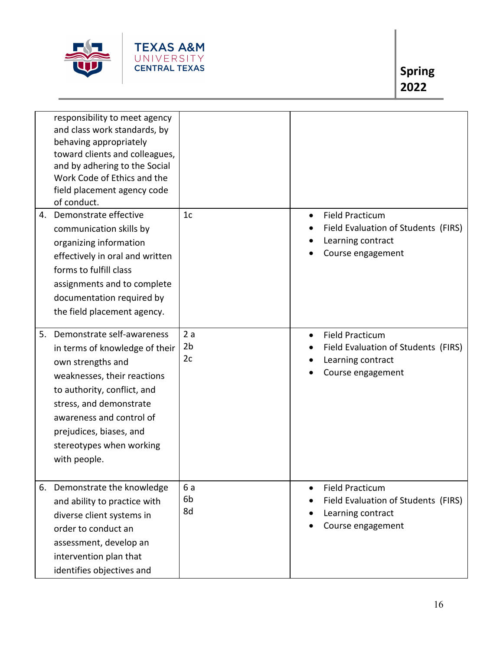

**Spring and Spring Spring 2022 2022**

|    | responsibility to meet agency<br>and class work standards, by<br>behaving appropriately<br>toward clients and colleagues,<br>and by adhering to the Social<br>Work Code of Ethics and the<br>field placement agency code<br>of conduct.                                          |                            |           |                                                                                                         |
|----|----------------------------------------------------------------------------------------------------------------------------------------------------------------------------------------------------------------------------------------------------------------------------------|----------------------------|-----------|---------------------------------------------------------------------------------------------------------|
|    | 4. Demonstrate effective<br>communication skills by<br>organizing information<br>effectively in oral and written<br>forms to fulfill class<br>assignments and to complete<br>documentation required by<br>the field placement agency.                                            | 1 <sub>c</sub>             | $\bullet$ | <b>Field Practicum</b><br>Field Evaluation of Students (FIRS)<br>Learning contract<br>Course engagement |
|    | 5. Demonstrate self-awareness<br>in terms of knowledge of their<br>own strengths and<br>weaknesses, their reactions<br>to authority, conflict, and<br>stress, and demonstrate<br>awareness and control of<br>prejudices, biases, and<br>stereotypes when working<br>with people. | 2a<br>2 <sub>b</sub><br>2c | $\bullet$ | <b>Field Practicum</b><br>Field Evaluation of Students (FIRS)<br>Learning contract<br>Course engagement |
| 6. | Demonstrate the knowledge<br>and ability to practice with<br>diverse client systems in<br>order to conduct an<br>assessment, develop an<br>intervention plan that<br>identifies objectives and                                                                                   | 6 a<br>6b<br>8d            | $\bullet$ | <b>Field Practicum</b><br>Field Evaluation of Students (FIRS)<br>Learning contract<br>Course engagement |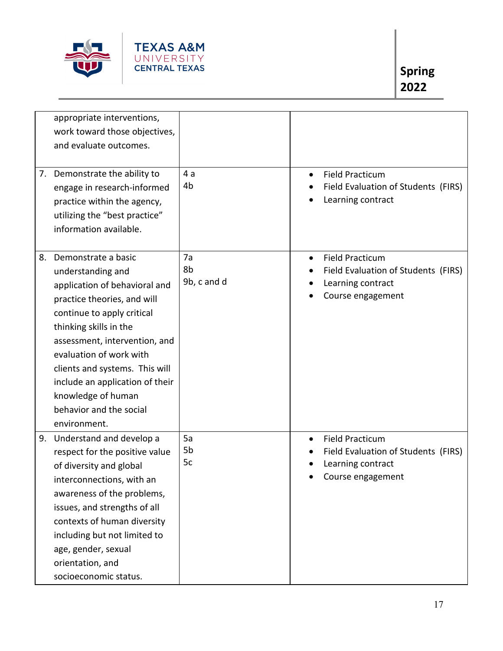

**Spring and Spring Spring 2022 2022**

|    | appropriate interventions,<br>work toward those objectives,<br>and evaluate outcomes.<br>7. Demonstrate the ability to<br>engage in research-informed<br>practice within the agency,<br>utilizing the "best practice"<br>information available.                                                                                                                    | 4a<br>4b                |           | <b>Field Practicum</b><br>Field Evaluation of Students (FIRS)<br>Learning contract                      |
|----|--------------------------------------------------------------------------------------------------------------------------------------------------------------------------------------------------------------------------------------------------------------------------------------------------------------------------------------------------------------------|-------------------------|-----------|---------------------------------------------------------------------------------------------------------|
| 8. | Demonstrate a basic<br>understanding and<br>application of behavioral and<br>practice theories, and will<br>continue to apply critical<br>thinking skills in the<br>assessment, intervention, and<br>evaluation of work with<br>clients and systems. This will<br>include an application of their<br>knowledge of human<br>behavior and the social<br>environment. | 7a<br>8b<br>9b, c and d | $\bullet$ | <b>Field Practicum</b><br>Field Evaluation of Students (FIRS)<br>Learning contract<br>Course engagement |
|    | 9. Understand and develop a<br>respect for the positive value<br>of diversity and global<br>interconnections, with an<br>awareness of the problems,<br>issues, and strengths of all<br>contexts of human diversity<br>including but not limited to<br>age, gender, sexual<br>orientation, and<br>socioeconomic status.                                             | 5a<br>5b<br>5c          | $\bullet$ | <b>Field Practicum</b><br>Field Evaluation of Students (FIRS)<br>Learning contract<br>Course engagement |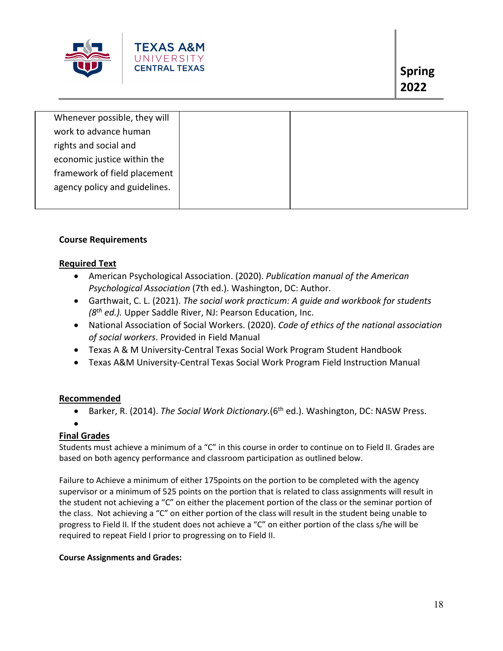

| Whenever possible, they will  |  |
|-------------------------------|--|
| work to advance human         |  |
| rights and social and         |  |
| economic justice within the   |  |
| framework of field placement  |  |
| agency policy and guidelines. |  |
|                               |  |

#### **Course Requirements**

#### **Required Text**

- American Psychological Association. (2020). *Publication manual of the American Psychological Association* (7th ed.). Washington, DC: Author.
- Garthwait, C. L. (2021). *The social work practicum: A guide and workbook for students (8th ed.).* Upper Saddle River, NJ: Pearson Education, Inc.
- National Association of Social Workers. (2020). *Code of ethics of the national association of social workers*. Provided in Field Manual
- Texas A & M University-Central Texas Social Work Program Student Handbook
- Texas A&M University-Central Texas Social Work Program Field Instruction Manual

#### **Recommended**

- Barker, R. (2014). *The Social Work Dictionary.*(6th ed.). Washington, DC: NASW Press.
- •

#### **Final Grades**

Students must achieve a minimum of a "C" in this course in order to continue on to Field II. Grades are based on both agency performance and classroom participation as outlined below.

Failure to Achieve a minimum of either 175points on the portion to be completed with the agency supervisor or a minimum of 525 points on the portion that is related to class assignments will result in the student not achieving a "C" on either the placement portion of the class or the seminar portion of the class. Not achieving a "C" on either portion of the class will result in the student being unable to progress to Field II. If the student does not achieve a "C" on either portion of the class s/he will be required to repeat Field I prior to progressing on to Field II.

#### **Course Assignments and Grades:**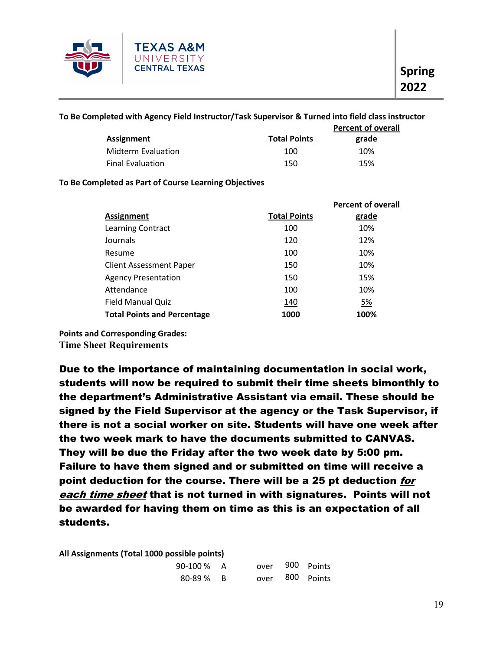

**To Be Completed with Agency Field Instructor/Task Supervisor & Turned into field class instructor**

|                           |                     | <b>Percent of overall</b> |
|---------------------------|---------------------|---------------------------|
| Assignment                | <b>Total Points</b> | grade                     |
| <b>Midterm Evaluation</b> | 100                 | 10%                       |
| <b>Final Evaluation</b>   | 150                 | 15%                       |

#### **To Be Completed as Part of Course Learning Objectives**

|                                    |                     | <b>Percent of overall</b> |
|------------------------------------|---------------------|---------------------------|
| Assignment                         | <b>Total Points</b> | grade                     |
| <b>Learning Contract</b>           | 100                 | 10%                       |
| Journals                           | 120                 | 12%                       |
| Resume                             | 100                 | 10%                       |
| <b>Client Assessment Paper</b>     | 150                 | 10%                       |
| <b>Agency Presentation</b>         | 150                 | 15%                       |
| Attendance                         | 100                 | 10%                       |
| Field Manual Quiz                  | 140                 | 5%                        |
| <b>Total Points and Percentage</b> | 1000                | 100%                      |

**Points and Corresponding Grades:**

**Time Sheet Requirements**

Due to the importance of maintaining documentation in social work, students will now be required to submit their time sheets bimonthly to the department's Administrative Assistant via email. These should be signed by the Field Supervisor at the agency or the Task Supervisor, if there is not a social worker on site. Students will have one week after the two week mark to have the documents submitted to CANVAS. They will be due the Friday after the two week date by 5:00 pm. Failure to have them signed and or submitted on time will receive a point deduction for the course. There will be a 25 pt deduction for each time sheet that is not turned in with signatures. Points will not be awarded for having them on time as this is an expectation of all students.

**All Assignments (Total 1000 possible points)**

| $90-100\%$ A   |  | over 900 Points |
|----------------|--|-----------------|
| $80 - 89 \%$ B |  | over 800 Points |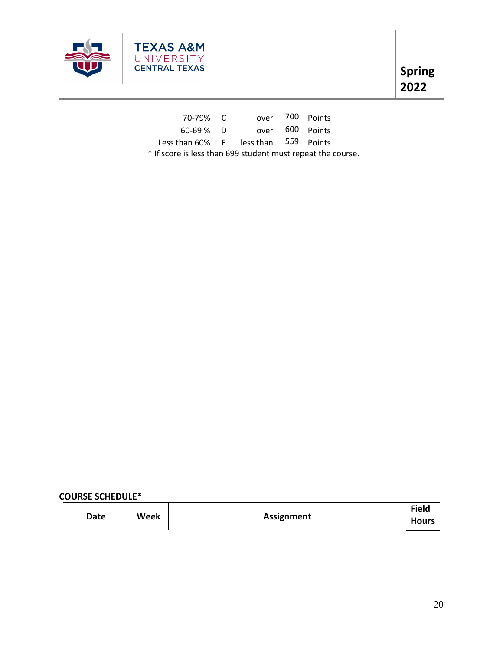

70-79% C over 700 Points 60-69 % D over 600 Points Less than 60% F less than 559 Points \* If score is less than 699 student must repeat the course.

#### **COURSE SCHEDULE\***

| Week<br>Date | <b>Assignment</b> | <b>Field</b><br><b>Hours</b> |
|--------------|-------------------|------------------------------|
|--------------|-------------------|------------------------------|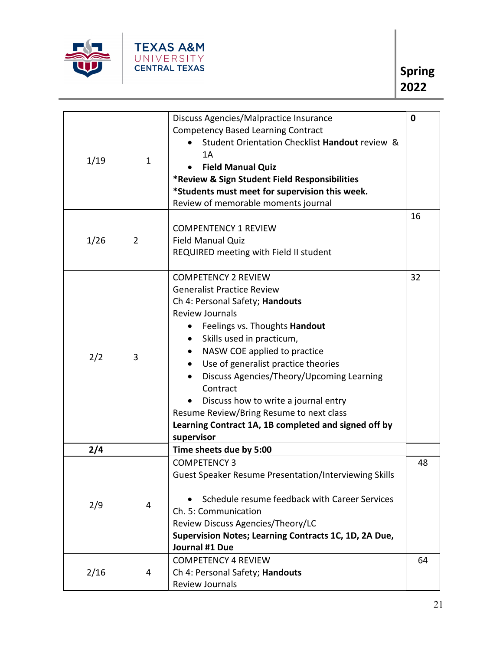

|      |   | Discuss Agencies/Malpractice Insurance                       | $\mathbf 0$ |
|------|---|--------------------------------------------------------------|-------------|
|      |   | <b>Competency Based Learning Contract</b>                    |             |
|      |   | Student Orientation Checklist Handout review &               |             |
|      |   | 1A                                                           |             |
| 1/19 | 1 | <b>Field Manual Quiz</b>                                     |             |
|      |   | *Review & Sign Student Field Responsibilities                |             |
|      |   | *Students must meet for supervision this week.               |             |
|      |   | Review of memorable moments journal                          |             |
|      |   |                                                              | 16          |
|      |   | <b>COMPENTENCY 1 REVIEW</b>                                  |             |
| 1/26 | 2 | Field Manual Quiz                                            |             |
|      |   | REQUIRED meeting with Field II student                       |             |
|      |   |                                                              |             |
|      |   | <b>COMPETENCY 2 REVIEW</b>                                   | 32          |
|      |   | <b>Generalist Practice Review</b>                            |             |
|      |   | Ch 4: Personal Safety; Handouts                              |             |
|      |   | <b>Review Journals</b>                                       |             |
|      |   | Feelings vs. Thoughts Handout<br>$\bullet$                   |             |
|      |   | Skills used in practicum,<br>$\bullet$                       |             |
|      |   | NASW COE applied to practice                                 |             |
| 2/2  | 3 | Use of generalist practice theories                          |             |
|      |   | Discuss Agencies/Theory/Upcoming Learning                    |             |
|      |   | Contract                                                     |             |
|      |   | Discuss how to write a journal entry                         |             |
|      |   | Resume Review/Bring Resume to next class                     |             |
|      |   | Learning Contract 1A, 1B completed and signed off by         |             |
|      |   | supervisor                                                   |             |
| 2/4  |   | Time sheets due by 5:00                                      |             |
|      |   | <b>COMPETENCY 3</b>                                          | 48          |
|      |   | <b>Guest Speaker Resume Presentation/Interviewing Skills</b> |             |
|      |   |                                                              |             |
|      |   | Schedule resume feedback with Career Services                |             |
| 2/9  | 4 | Ch. 5: Communication                                         |             |
|      |   | Review Discuss Agencies/Theory/LC                            |             |
|      |   | Supervision Notes; Learning Contracts 1C, 1D, 2A Due,        |             |
|      |   | Journal #1 Due                                               |             |
|      |   | <b>COMPETENCY 4 REVIEW</b>                                   | 64          |
| 2/16 | 4 | Ch 4: Personal Safety; Handouts                              |             |
|      |   | <b>Review Journals</b>                                       |             |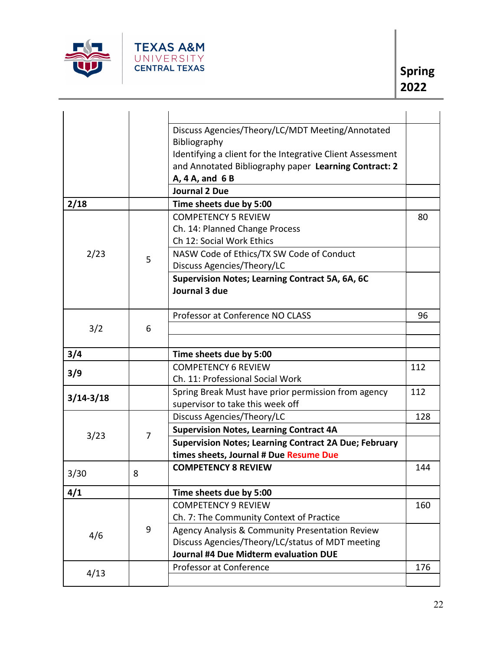

|               |                | Discuss Agencies/Theory/LC/MDT Meeting/Annotated             |     |
|---------------|----------------|--------------------------------------------------------------|-----|
|               |                | Bibliography                                                 |     |
|               |                | Identifying a client for the Integrative Client Assessment   |     |
|               |                | and Annotated Bibliography paper Learning Contract: 2        |     |
|               |                | A, 4 A, and 6 B                                              |     |
|               |                | <b>Journal 2 Due</b>                                         |     |
| 2/18          |                | Time sheets due by 5:00                                      |     |
|               |                | <b>COMPETENCY 5 REVIEW</b>                                   | 80  |
|               |                | Ch. 14: Planned Change Process                               |     |
|               |                | Ch 12: Social Work Ethics                                    |     |
| 2/23          |                | NASW Code of Ethics/TX SW Code of Conduct                    |     |
|               | 5              | Discuss Agencies/Theory/LC                                   |     |
|               |                | Supervision Notes; Learning Contract 5A, 6A, 6C              |     |
|               |                | Journal 3 due                                                |     |
|               |                |                                                              |     |
|               |                | Professor at Conference NO CLASS                             | 96  |
| 3/2           | 6              |                                                              |     |
|               |                |                                                              |     |
| 3/4           |                | Time sheets due by 5:00                                      |     |
|               |                |                                                              |     |
|               |                | <b>COMPETENCY 6 REVIEW</b>                                   | 112 |
| 3/9           |                | Ch. 11: Professional Social Work                             |     |
|               |                | Spring Break Must have prior permission from agency          | 112 |
| $3/14 - 3/18$ |                | supervisor to take this week off                             |     |
|               |                | Discuss Agencies/Theory/LC                                   | 128 |
|               |                | <b>Supervision Notes, Learning Contract 4A</b>               |     |
| 3/23          | $\overline{7}$ | <b>Supervision Notes; Learning Contract 2A Due; February</b> |     |
|               |                | times sheets, Journal # Due Resume Due                       |     |
|               |                | <b>COMPETENCY 8 REVIEW</b>                                   | 144 |
| 3/30          | 8              |                                                              |     |
| 4/1           |                | Time sheets due by 5:00                                      |     |
|               |                | <b>COMPETENCY 9 REVIEW</b>                                   | 160 |
|               |                | Ch. 7: The Community Context of Practice                     |     |
|               | 9              | Agency Analysis & Community Presentation Review              |     |
| 4/6           |                | Discuss Agencies/Theory/LC/status of MDT meeting             |     |
|               |                | Journal #4 Due Midterm evaluation DUE                        |     |
| 4/13          |                | Professor at Conference                                      | 176 |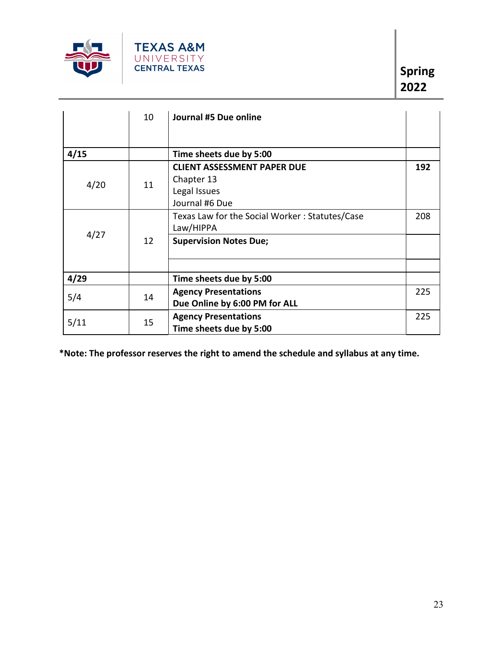

**Spring and Spring Spring 2022 2022**

|      | 10 | Journal #5 Due online                          |     |
|------|----|------------------------------------------------|-----|
|      |    |                                                |     |
| 4/15 |    | Time sheets due by 5:00                        |     |
|      |    | <b>CLIENT ASSESSMENT PAPER DUE</b>             | 192 |
| 4/20 | 11 | Chapter 13                                     |     |
|      |    | Legal Issues                                   |     |
|      |    | Journal #6 Due                                 |     |
|      |    | Texas Law for the Social Worker: Statutes/Case | 208 |
| 4/27 |    | Law/HIPPA                                      |     |
|      | 12 | <b>Supervision Notes Due;</b>                  |     |
|      |    |                                                |     |
|      |    |                                                |     |
| 4/29 |    | Time sheets due by 5:00                        |     |
| 5/4  | 14 | <b>Agency Presentations</b>                    | 225 |
|      |    | Due Online by 6:00 PM for ALL                  |     |
|      |    | <b>Agency Presentations</b>                    | 225 |
| 5/11 | 15 | Time sheets due by 5:00                        |     |

**\*Note: The professor reserves the right to amend the schedule and syllabus at any time.**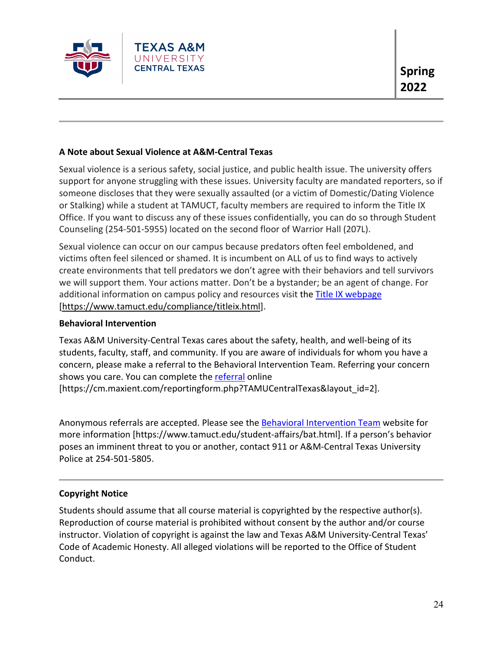

#### **A Note about Sexual Violence at A&M-Central Texas**

Sexual violence is a serious safety, social justice, and public health issue. The university offers support for anyone struggling with these issues. University faculty are mandated reporters, so if someone discloses that they were sexually assaulted (or a victim of Domestic/Dating Violence or Stalking) while a student at TAMUCT, faculty members are required to inform the Title IX Office. If you want to discuss any of these issues confidentially, you can do so through Student Counseling (254-501-5955) located on the second floor of Warrior Hall (207L).

Sexual violence can occur on our campus because predators often feel emboldened, and victims often feel silenced or shamed. It is incumbent on ALL of us to find ways to actively create environments that tell predators we don't agree with their behaviors and tell survivors we will support them. Your actions matter. Don't be a bystander; be an agent of change. For additional information on campus policy and resources visit the [Title IX webpage](https://www.tamuct.edu/compliance/titleix.html) [\[https://www.tamuct.edu/compliance/titleix.html\]](https://www.tamuct.edu/compliance/titleix.html).

#### **Behavioral Intervention**

Texas A&M University-Central Texas cares about the safety, health, and well-being of its students, faculty, staff, and community. If you are aware of individuals for whom you have a concern, please make a referral to the Behavioral Intervention Team. Referring your concern shows you care. You can complete the [referral](https://cm.maxient.com/reportingform.php?TAMUCentralTexas&layout_id=2) online

[https://cm.maxient.com/reportingform.php?TAMUCentralTexas&layout\_id=2].

Anonymous referrals are accepted. Please see the [Behavioral Intervention Team](https://www.tamuct.edu/student-affairs/bat.html) website for more information [https://www.tamuct.edu/student-affairs/bat.html]. If a person's behavior poses an imminent threat to you or another, contact 911 or A&M-Central Texas University Police at 254-501-5805.

#### **Copyright Notice**

Students should assume that all course material is copyrighted by the respective author(s). Reproduction of course material is prohibited without consent by the author and/or course instructor. Violation of copyright is against the law and Texas A&M University-Central Texas' Code of Academic Honesty. All alleged violations will be reported to the Office of Student Conduct.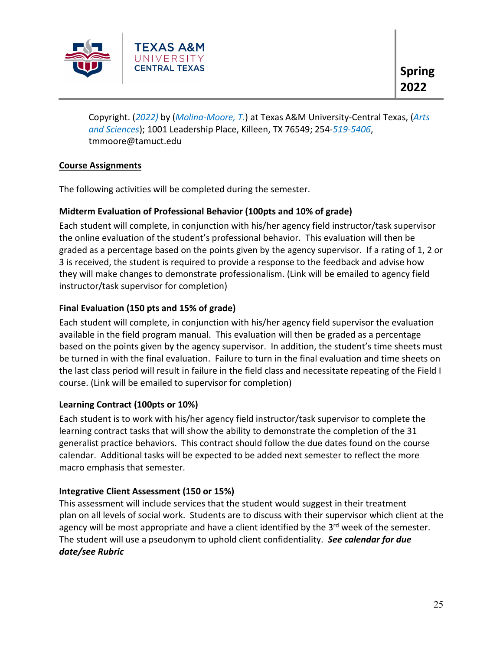

Copyright. (*2022)* by (*Molina-Moore, T.*) at Texas A&M University-Central Texas, (*Arts and Sciences*); 1001 Leadership Place, Killeen, TX 76549; 254-*519-5406*, tmmoore@tamuct.edu

# **Course Assignments**

The following activities will be completed during the semester.

# **Midterm Evaluation of Professional Behavior (100pts and 10% of grade)**

Each student will complete, in conjunction with his/her agency field instructor/task supervisor the online evaluation of the student's professional behavior. This evaluation will then be graded as a percentage based on the points given by the agency supervisor. If a rating of 1, 2 or 3 is received, the student is required to provide a response to the feedback and advise how they will make changes to demonstrate professionalism. (Link will be emailed to agency field instructor/task supervisor for completion)

# **Final Evaluation (150 pts and 15% of grade)**

Each student will complete, in conjunction with his/her agency field supervisor the evaluation available in the field program manual. This evaluation will then be graded as a percentage based on the points given by the agency supervisor. In addition, the student's time sheets must be turned in with the final evaluation. Failure to turn in the final evaluation and time sheets on the last class period will result in failure in the field class and necessitate repeating of the Field I course. (Link will be emailed to supervisor for completion)

# **Learning Contract (100pts or 10%)**

Each student is to work with his/her agency field instructor/task supervisor to complete the learning contract tasks that will show the ability to demonstrate the completion of the 31 generalist practice behaviors. This contract should follow the due dates found on the course calendar. Additional tasks will be expected to be added next semester to reflect the more macro emphasis that semester.

# **Integrative Client Assessment (150 or 15%)**

This assessment will include services that the student would suggest in their treatment plan on all levels of social work. Students are to discuss with their supervisor which client at the agency will be most appropriate and have a client identified by the 3<sup>rd</sup> week of the semester. The student will use a pseudonym to uphold client confidentiality. *See calendar for due date/see Rubric*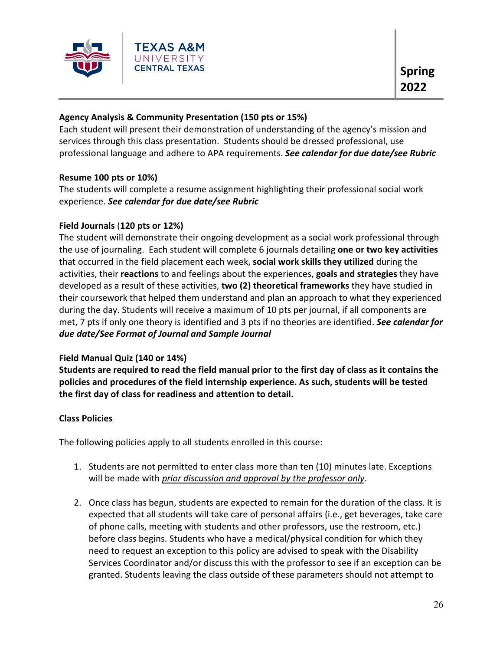

# **Agency Analysis & Community Presentation (150 pts or 15%)**

Each student will present their demonstration of understanding of the agency's mission and services through this class presentation. Students should be dressed professional, use professional language and adhere to APA requirements. *See calendar for due date/see Rubric*

## **Resume 100 pts or 10%)**

The students will complete a resume assignment highlighting their professional social work experience. *See calendar for due date/see Rubric*

# **Field Journals** (**120 pts or 12%)**

The student will demonstrate their ongoing development as a social work professional through the use of journaling. Each student will complete 6 journals detailing **one or two key activities** that occurred in the field placement each week, **social work skills they utilized** during the activities, their **reactions** to and feelings about the experiences, **goals and strategies** they have developed as a result of these activities, **two (2) theoretical frameworks** they have studied in their coursework that helped them understand and plan an approach to what they experienced during the day. Students will receive a maximum of 10 pts per journal, if all components are met, 7 pts if only one theory is identified and 3 pts if no theories are identified. *See calendar for due date/See Format of Journal and Sample Journal*

# **Field Manual Quiz (140 or 14%)**

**Students are required to read the field manual prior to the first day of class as it contains the policies and procedures of the field internship experience. As such, students will be tested the first day of class for readiness and attention to detail.** 

#### **Class Policies**

The following policies apply to all students enrolled in this course:

- 1. Students are not permitted to enter class more than ten (10) minutes late. Exceptions will be made with *prior discussion and approval by the professor only*.
- 2. Once class has begun, students are expected to remain for the duration of the class. It is expected that all students will take care of personal affairs (i.e., get beverages, take care of phone calls, meeting with students and other professors, use the restroom, etc.) before class begins. Students who have a medical/physical condition for which they need to request an exception to this policy are advised to speak with the Disability Services Coordinator and/or discuss this with the professor to see if an exception can be granted. Students leaving the class outside of these parameters should not attempt to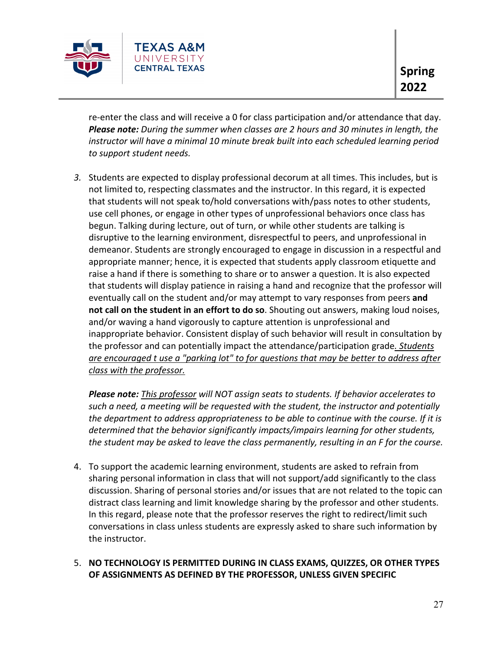

re-enter the class and will receive a 0 for class participation and/or attendance that day. *Please note: During the summer when classes are 2 hours and 30 minutes in length, the instructor will have a minimal 10 minute break built into each scheduled learning period to support student needs.* 

*3.* Students are expected to display professional decorum at all times. This includes, but is not limited to, respecting classmates and the instructor. In this regard, it is expected that students will not speak to/hold conversations with/pass notes to other students, use cell phones, or engage in other types of unprofessional behaviors once class has begun. Talking during lecture, out of turn, or while other students are talking is disruptive to the learning environment, disrespectful to peers, and unprofessional in demeanor. Students are strongly encouraged to engage in discussion in a respectful and appropriate manner; hence, it is expected that students apply classroom etiquette and raise a hand if there is something to share or to answer a question. It is also expected that students will display patience in raising a hand and recognize that the professor will eventually call on the student and/or may attempt to vary responses from peers **and not call on the student in an effort to do so**. Shouting out answers, making loud noises, and/or waving a hand vigorously to capture attention is unprofessional and inappropriate behavior. Consistent display of such behavior will result in consultation by the professor and can potentially impact the attendance/participation grade*. Students are encouraged t use a "parking lot" to for questions that may be better to address after class with the professor.* 

*Please note: This professor will NOT assign seats to students. If behavior accelerates to such a need, a meeting will be requested with the student, the instructor and potentially the department to address appropriateness to be able to continue with the course. If it is determined that the behavior significantly impacts/impairs learning for other students, the student may be asked to leave the class permanently, resulting in an F for the course.* 

- 4. To support the academic learning environment, students are asked to refrain from sharing personal information in class that will not support/add significantly to the class discussion. Sharing of personal stories and/or issues that are not related to the topic can distract class learning and limit knowledge sharing by the professor and other students. In this regard, please note that the professor reserves the right to redirect/limit such conversations in class unless students are expressly asked to share such information by the instructor.
- 5. **NO TECHNOLOGY IS PERMITTED DURING IN CLASS EXAMS, QUIZZES, OR OTHER TYPES OF ASSIGNMENTS AS DEFINED BY THE PROFESSOR, UNLESS GIVEN SPECIFIC**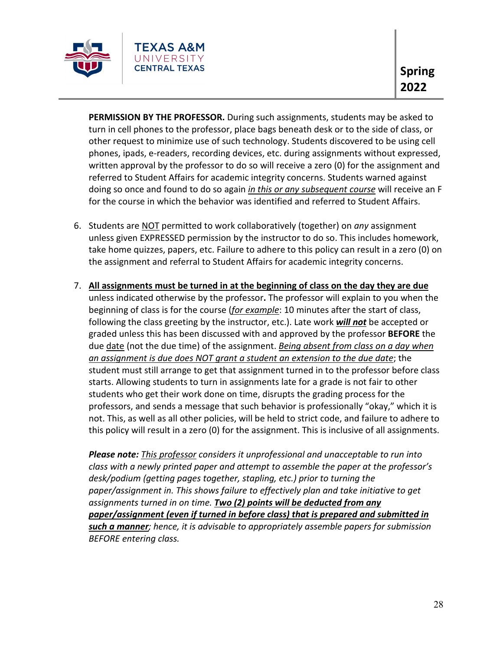

**PERMISSION BY THE PROFESSOR.** During such assignments, students may be asked to turn in cell phones to the professor, place bags beneath desk or to the side of class, or other request to minimize use of such technology. Students discovered to be using cell phones, ipads, e-readers, recording devices, etc. during assignments without expressed, written approval by the professor to do so will receive a zero (0) for the assignment and referred to Student Affairs for academic integrity concerns. Students warned against doing so once and found to do so again *in this or any subsequent course* will receive an F for the course in which the behavior was identified and referred to Student Affairs.

- 6. Students are NOT permitted to work collaboratively (together) on *any* assignment unless given EXPRESSED permission by the instructor to do so. This includes homework, take home quizzes, papers, etc. Failure to adhere to this policy can result in a zero (0) on the assignment and referral to Student Affairs for academic integrity concerns.
- 7. **All assignments must be turned in at the beginning of class on the day they are due** unless indicated otherwise by the professor**.** The professor will explain to you when the beginning of class is for the course (*for example*: 10 minutes after the start of class, following the class greeting by the instructor, etc.). Late work *will not* be accepted or graded unless this has been discussed with and approved by the professor **BEFORE** the due date (not the due time) of the assignment. *Being absent from class on a day when an assignment is due does NOT grant a student an extension to the due date*; the student must still arrange to get that assignment turned in to the professor before class starts. Allowing students to turn in assignments late for a grade is not fair to other students who get their work done on time, disrupts the grading process for the professors, and sends a message that such behavior is professionally "okay," which it is not. This, as well as all other policies, will be held to strict code, and failure to adhere to this policy will result in a zero (0) for the assignment. This is inclusive of all assignments.

*Please note: This professor considers it unprofessional and unacceptable to run into class with a newly printed paper and attempt to assemble the paper at the professor's desk/podium (getting pages together, stapling, etc.) prior to turning the paper/assignment in. This shows failure to effectively plan and take initiative to get assignments turned in on time. Two (2) points will be deducted from any paper/assignment (even if turned in before class) that is prepared and submitted in such a manner; hence, it is advisable to appropriately assemble papers for submission BEFORE entering class.*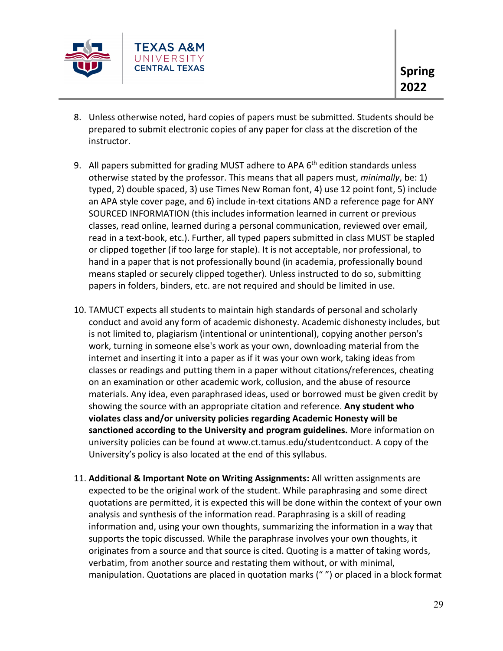

- 8. Unless otherwise noted, hard copies of papers must be submitted. Students should be prepared to submit electronic copies of any paper for class at the discretion of the instructor.
- 9. All papers submitted for grading MUST adhere to APA  $6<sup>th</sup>$  edition standards unless otherwise stated by the professor. This means that all papers must, *minimally*, be: 1) typed, 2) double spaced, 3) use Times New Roman font, 4) use 12 point font, 5) include an APA style cover page, and 6) include in-text citations AND a reference page for ANY SOURCED INFORMATION (this includes information learned in current or previous classes, read online, learned during a personal communication, reviewed over email, read in a text-book, etc.). Further, all typed papers submitted in class MUST be stapled or clipped together (if too large for staple). It is not acceptable, nor professional, to hand in a paper that is not professionally bound (in academia, professionally bound means stapled or securely clipped together). Unless instructed to do so, submitting papers in folders, binders, etc. are not required and should be limited in use.
- 10. TAMUCT expects all students to maintain high standards of personal and scholarly conduct and avoid any form of academic dishonesty. Academic dishonesty includes, but is not limited to, plagiarism (intentional or unintentional), copying another person's work, turning in someone else's work as your own, downloading material from the internet and inserting it into a paper as if it was your own work, taking ideas from classes or readings and putting them in a paper without citations/references, cheating on an examination or other academic work, collusion, and the abuse of resource materials. Any idea, even paraphrased ideas, used or borrowed must be given credit by showing the source with an appropriate citation and reference. **Any student who violates class and/or university policies regarding Academic Honesty will be sanctioned according to the University and program guidelines.** More information on university policies can be found at www.ct.tamus.edu/studentconduct. A copy of the University's policy is also located at the end of this syllabus.
- 11. **Additional & Important Note on Writing Assignments:** All written assignments are expected to be the original work of the student. While paraphrasing and some direct quotations are permitted, it is expected this will be done within the context of your own analysis and synthesis of the information read. Paraphrasing is a skill of reading information and, using your own thoughts, summarizing the information in a way that supports the topic discussed. While the paraphrase involves your own thoughts, it originates from a source and that source is cited. Quoting is a matter of taking words, verbatim, from another source and restating them without, or with minimal, manipulation. Quotations are placed in quotation marks (" ") or placed in a block format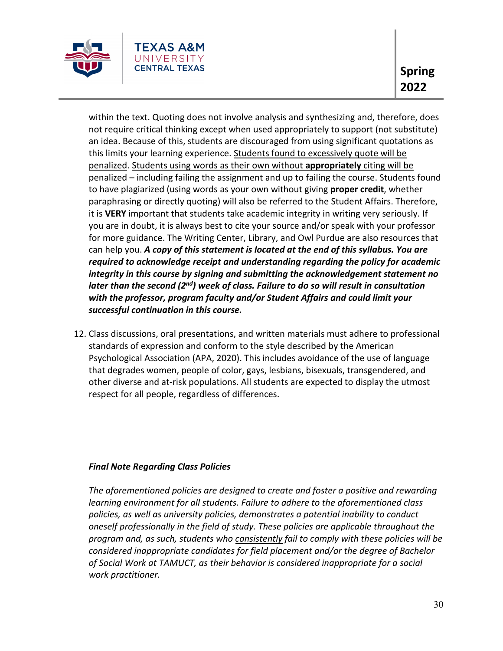

within the text. Quoting does not involve analysis and synthesizing and, therefore, does not require critical thinking except when used appropriately to support (not substitute) an idea. Because of this, students are discouraged from using significant quotations as this limits your learning experience. Students found to excessively quote will be penalized. Students using words as their own without **appropriately** citing will be penalized – including failing the assignment and up to failing the course. Students found to have plagiarized (using words as your own without giving **proper credit**, whether paraphrasing or directly quoting) will also be referred to the Student Affairs. Therefore, it is **VERY** important that students take academic integrity in writing very seriously. If you are in doubt, it is always best to cite your source and/or speak with your professor for more guidance. The Writing Center, Library, and Owl Purdue are also resources that can help you. *A copy of this statement is located at the end of this syllabus. You are required to acknowledge receipt and understanding regarding the policy for academic integrity in this course by signing and submitting the acknowledgement statement no later than the second (2nd) week of class. Failure to do so will result in consultation with the professor, program faculty and/or Student Affairs and could limit your successful continuation in this course.* 

12. Class discussions, oral presentations, and written materials must adhere to professional standards of expression and conform to the style described by the American Psychological Association (APA, 2020). This includes avoidance of the use of language that degrades women, people of color, gays, lesbians, bisexuals, transgendered, and other diverse and at-risk populations. All students are expected to display the utmost respect for all people, regardless of differences.

#### *Final Note Regarding Class Policies*

*The aforementioned policies are designed to create and foster a positive and rewarding learning environment for all students. Failure to adhere to the aforementioned class policies, as well as university policies, demonstrates a potential inability to conduct oneself professionally in the field of study. These policies are applicable throughout the program and, as such, students who consistently fail to comply with these policies will be considered inappropriate candidates for field placement and/or the degree of Bachelor of Social Work at TAMUCT, as their behavior is considered inappropriate for a social work practitioner.*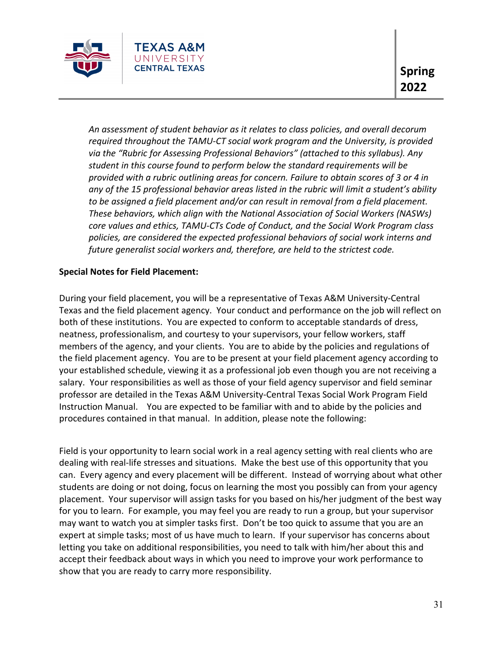

*An assessment of student behavior as it relates to class policies, and overall decorum required throughout the TAMU-CT social work program and the University, is provided via the "Rubric for Assessing Professional Behaviors" (attached to this syllabus). Any student in this course found to perform below the standard requirements will be provided with a rubric outlining areas for concern. Failure to obtain scores of 3 or 4 in any of the 15 professional behavior areas listed in the rubric will limit a student's ability to be assigned a field placement and/or can result in removal from a field placement. These behaviors, which align with the National Association of Social Workers (NASWs) core values and ethics, TAMU-CTs Code of Conduct, and the Social Work Program class policies, are considered the expected professional behaviors of social work interns and future generalist social workers and, therefore, are held to the strictest code.* 

## **Special Notes for Field Placement:**

During your field placement, you will be a representative of Texas A&M University-Central Texas and the field placement agency. Your conduct and performance on the job will reflect on both of these institutions. You are expected to conform to acceptable standards of dress, neatness, professionalism, and courtesy to your supervisors, your fellow workers, staff members of the agency, and your clients. You are to abide by the policies and regulations of the field placement agency. You are to be present at your field placement agency according to your established schedule, viewing it as a professional job even though you are not receiving a salary. Your responsibilities as well as those of your field agency supervisor and field seminar professor are detailed in the Texas A&M University-Central Texas Social Work Program Field Instruction Manual. You are expected to be familiar with and to abide by the policies and procedures contained in that manual. In addition, please note the following:

Field is your opportunity to learn social work in a real agency setting with real clients who are dealing with real-life stresses and situations. Make the best use of this opportunity that you can. Every agency and every placement will be different. Instead of worrying about what other students are doing or not doing, focus on learning the most you possibly can from your agency placement. Your supervisor will assign tasks for you based on his/her judgment of the best way for you to learn. For example, you may feel you are ready to run a group, but your supervisor may want to watch you at simpler tasks first. Don't be too quick to assume that you are an expert at simple tasks; most of us have much to learn. If your supervisor has concerns about letting you take on additional responsibilities, you need to talk with him/her about this and accept their feedback about ways in which you need to improve your work performance to show that you are ready to carry more responsibility.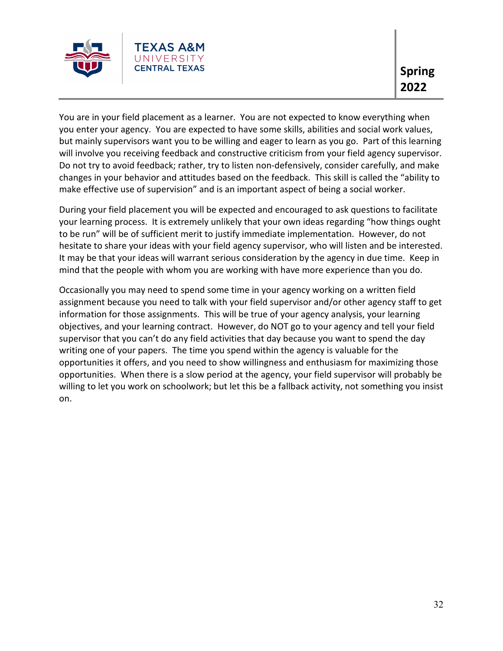

You are in your field placement as a learner. You are not expected to know everything when you enter your agency. You are expected to have some skills, abilities and social work values, but mainly supervisors want you to be willing and eager to learn as you go. Part of this learning will involve you receiving feedback and constructive criticism from your field agency supervisor. Do not try to avoid feedback; rather, try to listen non-defensively, consider carefully, and make changes in your behavior and attitudes based on the feedback. This skill is called the "ability to make effective use of supervision" and is an important aspect of being a social worker.

During your field placement you will be expected and encouraged to ask questions to facilitate your learning process. It is extremely unlikely that your own ideas regarding "how things ought to be run" will be of sufficient merit to justify immediate implementation. However, do not hesitate to share your ideas with your field agency supervisor, who will listen and be interested. It may be that your ideas will warrant serious consideration by the agency in due time. Keep in mind that the people with whom you are working with have more experience than you do.

Occasionally you may need to spend some time in your agency working on a written field assignment because you need to talk with your field supervisor and/or other agency staff to get information for those assignments. This will be true of your agency analysis, your learning objectives, and your learning contract. However, do NOT go to your agency and tell your field supervisor that you can't do any field activities that day because you want to spend the day writing one of your papers. The time you spend within the agency is valuable for the opportunities it offers, and you need to show willingness and enthusiasm for maximizing those opportunities. When there is a slow period at the agency, your field supervisor will probably be willing to let you work on schoolwork; but let this be a fallback activity, not something you insist on.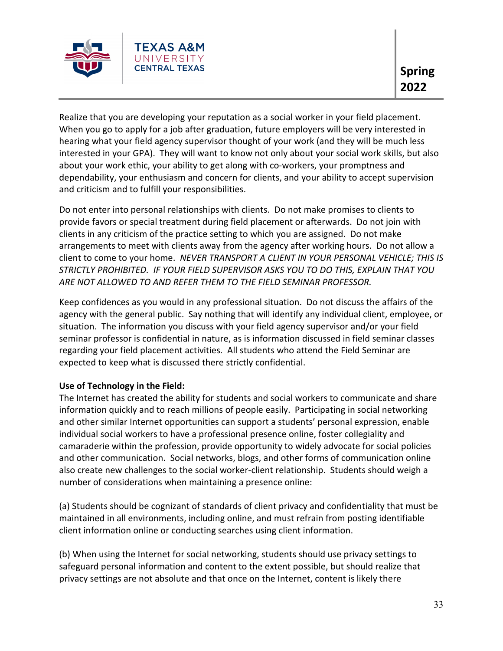

Realize that you are developing your reputation as a social worker in your field placement. When you go to apply for a job after graduation, future employers will be very interested in hearing what your field agency supervisor thought of your work (and they will be much less interested in your GPA). They will want to know not only about your social work skills, but also about your work ethic, your ability to get along with co-workers, your promptness and dependability, your enthusiasm and concern for clients, and your ability to accept supervision and criticism and to fulfill your responsibilities.

Do not enter into personal relationships with clients. Do not make promises to clients to provide favors or special treatment during field placement or afterwards. Do not join with clients in any criticism of the practice setting to which you are assigned. Do not make arrangements to meet with clients away from the agency after working hours. Do not allow a client to come to your home. *NEVER TRANSPORT A CLIENT IN YOUR PERSONAL VEHICLE; THIS IS STRICTLY PROHIBITED. IF YOUR FIELD SUPERVISOR ASKS YOU TO DO THIS, EXPLAIN THAT YOU ARE NOT ALLOWED TO AND REFER THEM TO THE FIELD SEMINAR PROFESSOR.*

Keep confidences as you would in any professional situation. Do not discuss the affairs of the agency with the general public. Say nothing that will identify any individual client, employee, or situation. The information you discuss with your field agency supervisor and/or your field seminar professor is confidential in nature, as is information discussed in field seminar classes regarding your field placement activities. All students who attend the Field Seminar are expected to keep what is discussed there strictly confidential.

# **Use of Technology in the Field:**

The Internet has created the ability for students and social workers to communicate and share information quickly and to reach millions of people easily. Participating in social networking and other similar Internet opportunities can support a students' personal expression, enable individual social workers to have a professional presence online, foster collegiality and camaraderie within the profession, provide opportunity to widely advocate for social policies and other communication. Social networks, blogs, and other forms of communication online also create new challenges to the social worker-client relationship. Students should weigh a number of considerations when maintaining a presence online:

(a) Students should be cognizant of standards of client privacy and confidentiality that must be maintained in all environments, including online, and must refrain from posting identifiable client information online or conducting searches using client information.

(b) When using the Internet for social networking, students should use privacy settings to safeguard personal information and content to the extent possible, but should realize that privacy settings are not absolute and that once on the Internet, content is likely there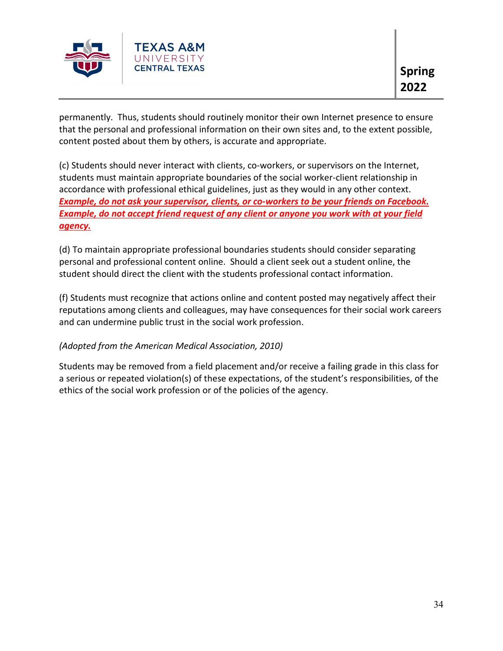

permanently. Thus, students should routinely monitor their own Internet presence to ensure that the personal and professional information on their own sites and, to the extent possible, content posted about them by others, is accurate and appropriate.

(c) Students should never interact with clients, co-workers, or supervisors on the Internet, students must maintain appropriate boundaries of the social worker-client relationship in accordance with professional ethical guidelines, just as they would in any other context. *Example, do not ask your supervisor, clients, or co-workers to be your friends on Facebook. Example, do not accept friend request of any client or anyone you work with at your field agency.*

(d) To maintain appropriate professional boundaries students should consider separating personal and professional content online. Should a client seek out a student online, the student should direct the client with the students professional contact information.

(f) Students must recognize that actions online and content posted may negatively affect their reputations among clients and colleagues, may have consequences for their social work careers and can undermine public trust in the social work profession.

# *(Adopted from the American Medical Association, 2010)*

Students may be removed from a field placement and/or receive a failing grade in this class for a serious or repeated violation(s) of these expectations, of the student's responsibilities, of the ethics of the social work profession or of the policies of the agency.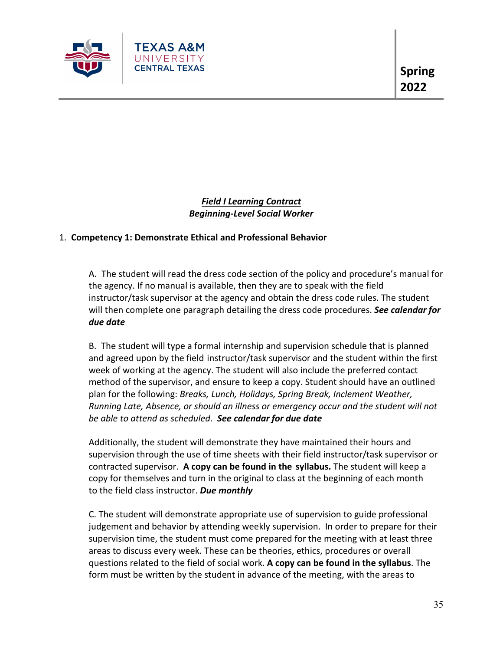

# *Field I Learning Contract Beginning-Level Social Worker*

# 1. **Competency 1: Demonstrate Ethical and Professional Behavior**

A. The student will read the dress code section of the policy and procedure's manual for the agency. If no manual is available, then they are to speak with the field instructor/task supervisor at the agency and obtain the dress code rules. The student will then complete one paragraph detailing the dress code procedures. *See calendar for due date*

B. The student will type a formal internship and supervision schedule that is planned and agreed upon by the field instructor/task supervisor and the student within the first week of working at the agency. The student will also include the preferred contact method of the supervisor, and ensure to keep a copy. Student should have an outlined plan for the following: *Breaks, Lunch, Holidays, Spring Break, Inclement Weather, Running Late, Absence, or should an illness or emergency occur and the student will not be able to attend as scheduled*. *See calendar for due date*

Additionally, the student will demonstrate they have maintained their hours and supervision through the use of time sheets with their field instructor/task supervisor or contracted supervisor. **A copy can be found in the syllabus.** The student will keep a copy for themselves and turn in the original to class at the beginning of each month to the field class instructor. *Due monthly*

C. The student will demonstrate appropriate use of supervision to guide professional judgement and behavior by attending weekly supervision. In order to prepare for their supervision time, the student must come prepared for the meeting with at least three areas to discuss every week. These can be theories, ethics, procedures or overall questions related to the field of social work. **A copy can be found in the syllabus**. The form must be written by the student in advance of the meeting, with the areas to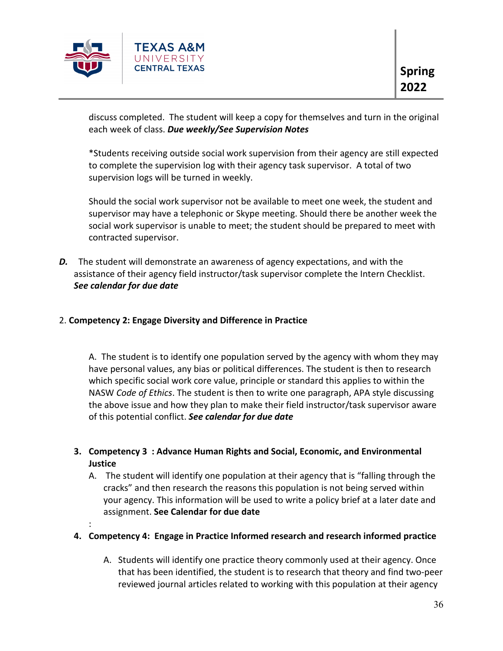

discuss completed. The student will keep a copy for themselves and turn in the original each week of class. *Due weekly/See Supervision Notes*

\*Students receiving outside social work supervision from their agency are still expected to complete the supervision log with their agency task supervisor. A total of two supervision logs will be turned in weekly.

Should the social work supervisor not be available to meet one week, the student and supervisor may have a telephonic or Skype meeting. Should there be another week the social work supervisor is unable to meet; the student should be prepared to meet with contracted supervisor.

*D.* The student will demonstrate an awareness of agency expectations, and with the assistance of their agency field instructor/task supervisor complete the Intern Checklist. *See calendar for due date*

## 2. **Competency 2: Engage Diversity and Difference in Practice**

:

A. The student is to identify one population served by the agency with whom they may have personal values, any bias or political differences. The student is then to research which specific social work core value, principle or standard this applies to within the NASW *Code of Ethics*. The student is then to write one paragraph, APA style discussing the above issue and how they plan to make their field instructor/task supervisor aware of this potential conflict. *See calendar for due date*

- **3. Competency 3 : Advance Human Rights and Social, Economic, and Environmental Justice** 
	- A. The student will identify one population at their agency that is "falling through the cracks" and then research the reasons this population is not being served within your agency. This information will be used to write a policy brief at a later date and assignment. **See Calendar for due date**
- **4. Competency 4: Engage in Practice Informed research and research informed practice**
	- A. Students will identify one practice theory commonly used at their agency. Once that has been identified, the student is to research that theory and find two-peer reviewed journal articles related to working with this population at their agency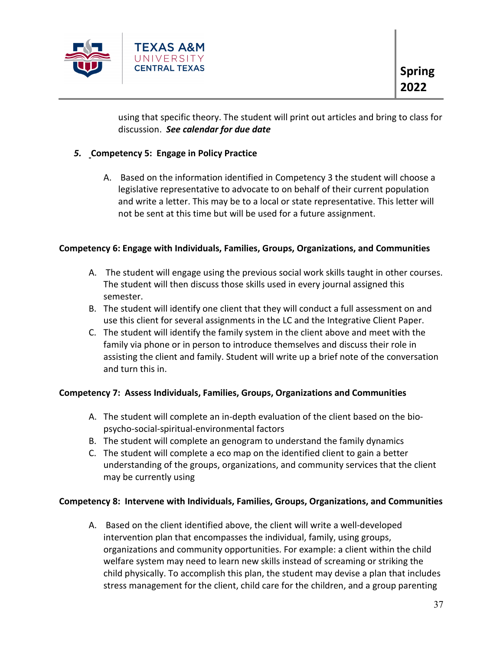

using that specific theory. The student will print out articles and bring to class for discussion. *See calendar for due date*

# *5.* **Competency 5: Engage in Policy Practice**

A. Based on the information identified in Competency 3 the student will choose a legislative representative to advocate to on behalf of their current population and write a letter. This may be to a local or state representative. This letter will not be sent at this time but will be used for a future assignment.

#### **Competency 6: Engage with Individuals, Families, Groups, Organizations, and Communities**

- A. The student will engage using the previous social work skills taught in other courses. The student will then discuss those skills used in every journal assigned this semester.
- B. The student will identify one client that they will conduct a full assessment on and use this client for several assignments in the LC and the Integrative Client Paper.
- C. The student will identify the family system in the client above and meet with the family via phone or in person to introduce themselves and discuss their role in assisting the client and family. Student will write up a brief note of the conversation and turn this in.

#### **Competency 7: Assess Individuals, Families, Groups, Organizations and Communities**

- A. The student will complete an in-depth evaluation of the client based on the biopsycho-social-spiritual-environmental factors
- B. The student will complete an genogram to understand the family dynamics
- C. The student will complete a eco map on the identified client to gain a better understanding of the groups, organizations, and community services that the client may be currently using

#### **Competency 8: Intervene with Individuals, Families, Groups, Organizations, and Communities**

A. Based on the client identified above, the client will write a well-developed intervention plan that encompasses the individual, family, using groups, organizations and community opportunities. For example: a client within the child welfare system may need to learn new skills instead of screaming or striking the child physically. To accomplish this plan, the student may devise a plan that includes stress management for the client, child care for the children, and a group parenting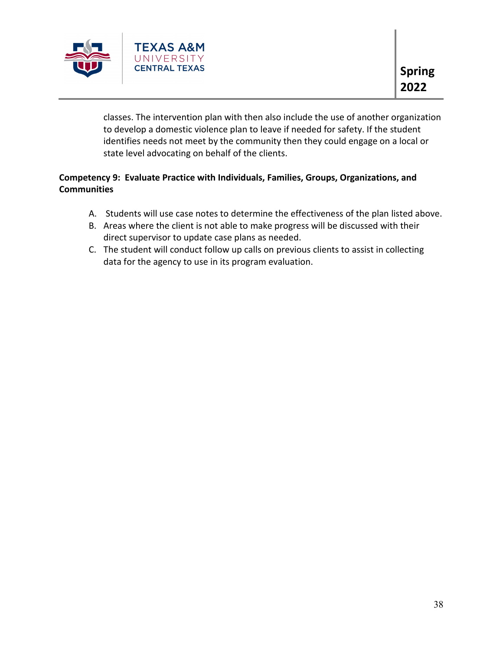

classes. The intervention plan with then also include the use of another organization to develop a domestic violence plan to leave if needed for safety. If the student identifies needs not meet by the community then they could engage on a local or state level advocating on behalf of the clients.

# **Competency 9: Evaluate Practice with Individuals, Families, Groups, Organizations, and Communities**

- A. Students will use case notes to determine the effectiveness of the plan listed above.
- B. Areas where the client is not able to make progress will be discussed with their direct supervisor to update case plans as needed.
- C. The student will conduct follow up calls on previous clients to assist in collecting data for the agency to use in its program evaluation.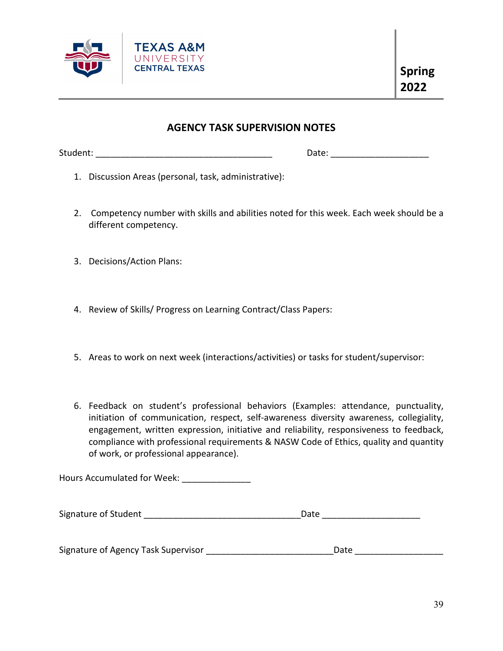

# **AGENCY TASK SUPERVISION NOTES**

Student: \_\_\_\_\_\_\_\_\_\_\_\_\_\_\_\_\_\_\_\_\_\_\_\_\_\_\_\_\_\_\_\_\_\_\_\_ Date: \_\_\_\_\_\_\_\_\_\_\_\_\_\_\_\_\_\_\_\_

- 1. Discussion Areas (personal, task, administrative):
- 2. Competency number with skills and abilities noted for this week. Each week should be a different competency.
- 3. Decisions/Action Plans:
- 4. Review of Skills/ Progress on Learning Contract/Class Papers:
- 5. Areas to work on next week (interactions/activities) or tasks for student/supervisor:
- 6. Feedback on student's professional behaviors (Examples: attendance, punctuality, initiation of communication, respect, self-awareness diversity awareness, collegiality, engagement, written expression, initiative and reliability, responsiveness to feedback, compliance with professional requirements & NASW Code of Ethics, quality and quantity of work, or professional appearance).

Hours Accumulated for Week: \_\_\_\_\_\_\_\_\_\_\_\_\_\_

| Signature of Student |  |
|----------------------|--|
|                      |  |

Signature of Agency Task Supervisor \_\_\_\_\_\_\_\_\_\_\_\_\_\_\_\_\_\_\_\_\_\_\_\_\_\_Date \_\_\_\_\_\_\_\_\_\_\_\_\_\_\_\_\_\_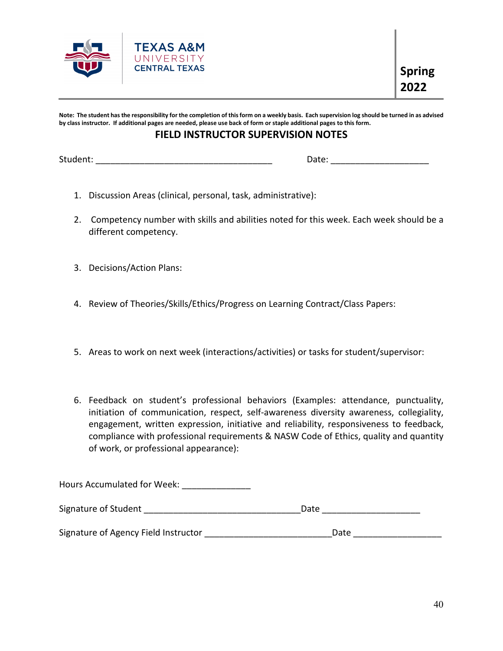

**Note: The student has the responsibility for the completion of this form on a weekly basis. Each supervision log should be turned in as advised by class instructor. If additional pages are needed, please use back of form or staple additional pages to this form.**

# **FIELD INSTRUCTOR SUPERVISION NOTES**

Student: \_\_\_\_\_\_\_\_\_\_\_\_\_\_\_\_\_\_\_\_\_\_\_\_\_\_\_\_\_\_\_\_\_\_\_\_ Date: \_\_\_\_\_\_\_\_\_\_\_\_\_\_\_\_\_\_\_\_

- 1. Discussion Areas (clinical, personal, task, administrative):
- 2. Competency number with skills and abilities noted for this week. Each week should be a different competency.
- 3. Decisions/Action Plans:
- 4. Review of Theories/Skills/Ethics/Progress on Learning Contract/Class Papers:
- 5. Areas to work on next week (interactions/activities) or tasks for student/supervisor:
- 6. Feedback on student's professional behaviors (Examples: attendance, punctuality, initiation of communication, respect, self-awareness diversity awareness, collegiality, engagement, written expression, initiative and reliability, responsiveness to feedback, compliance with professional requirements & NASW Code of Ethics, quality and quantity of work, or professional appearance):

| Hours Accumulated for Week:          |      |  |
|--------------------------------------|------|--|
| Signature of Student                 | Date |  |
| Signature of Agency Field Instructor | Date |  |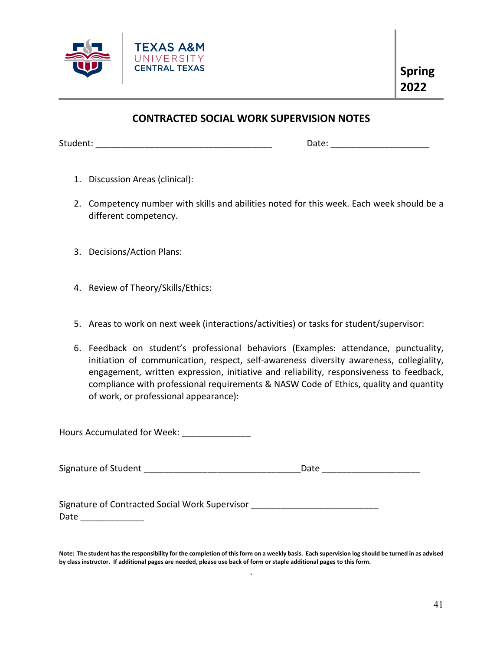

# **CONTRACTED SOCIAL WORK SUPERVISION NOTES**

Student: \_\_\_\_\_\_\_\_\_\_\_\_\_\_\_\_\_\_\_\_\_\_\_\_\_\_\_\_\_\_\_\_\_\_\_\_ Date: \_\_\_\_\_\_\_\_\_\_\_\_\_\_\_\_\_\_\_\_

- 1. Discussion Areas (clinical):
- 2. Competency number with skills and abilities noted for this week. Each week should be a different competency.
- 3. Decisions/Action Plans:
- 4. Review of Theory/Skills/Ethics:
- 5. Areas to work on next week (interactions/activities) or tasks for student/supervisor:
- 6. Feedback on student's professional behaviors (Examples: attendance, punctuality, initiation of communication, respect, self-awareness diversity awareness, collegiality, engagement, written expression, initiative and reliability, responsiveness to feedback, compliance with professional requirements & NASW Code of Ethics, quality and quantity of work, or professional appearance):

Hours Accumulated for Week: \_\_\_\_\_\_\_\_\_\_\_\_\_\_\_

Signature of Student \_\_\_\_\_\_\_\_\_\_\_\_\_\_\_\_\_\_\_\_\_\_\_\_\_\_\_\_\_\_\_\_Date \_\_\_\_\_\_\_\_\_\_\_\_\_\_\_\_\_\_\_\_

Signature of Contracted Social Work Supervisor \_\_\_\_\_\_\_\_\_\_\_\_\_\_\_\_\_\_\_\_\_\_\_\_\_\_\_\_\_\_\_\_\_ Date  $\qquad \qquad \blacksquare$ 

**Note: The student has the responsibility for the completion of this form on a weekly basis. Each supervision log should be turned in as advised by class instructor. If additional pages are needed, please use back of form or staple additional pages to this form.** .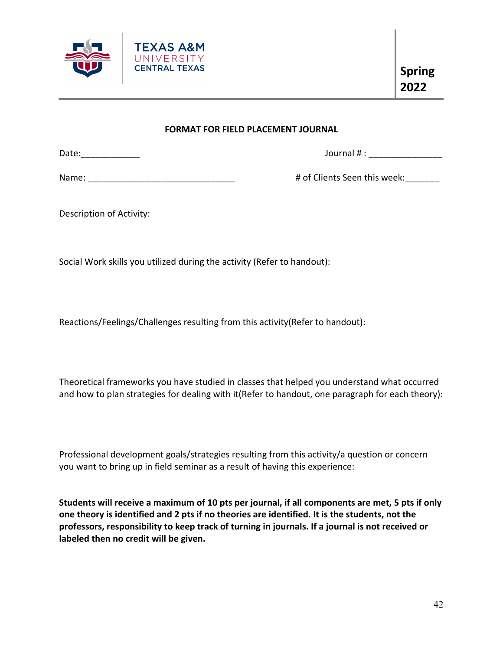

#### **FORMAT FOR FIELD PLACEMENT JOURNAL**

Date:\_\_\_\_\_\_\_\_\_\_\_\_ Journal # : \_\_\_\_\_\_\_\_\_\_\_\_\_\_\_

Name: Name:  $\qquad \qquad \qquad \qquad \qquad$  Name:

Description of Activity:

Social Work skills you utilized during the activity (Refer to handout):

Reactions/Feelings/Challenges resulting from this activity(Refer to handout):

Theoretical frameworks you have studied in classes that helped you understand what occurred and how to plan strategies for dealing with it(Refer to handout, one paragraph for each theory):

Professional development goals/strategies resulting from this activity/a question or concern you want to bring up in field seminar as a result of having this experience:

**Students will receive a maximum of 10 pts per journal, if all components are met, 5 pts if only one theory is identified and 2 pts if no theories are identified. It is the students, not the professors, responsibility to keep track of turning in journals. If a journal is not received or labeled then no credit will be given.**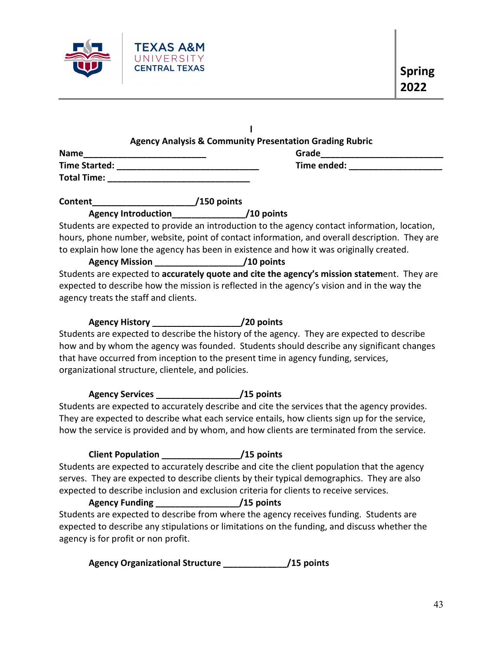

|                    |                                | <b>Agency Analysis &amp; Community Presentation Grading Rubric</b>                                  |
|--------------------|--------------------------------|-----------------------------------------------------------------------------------------------------|
| <b>Name</b>        |                                | Grade                                                                                               |
| Time Started:      |                                | Time ended:                                                                                         |
| <b>Total Time:</b> |                                |                                                                                                     |
| Content            | $/150$ points                  |                                                                                                     |
|                    | Agency Introduction /10 points |                                                                                                     |
|                    |                                | Students are expected to provide an introduction to the agency contact information, location,       |
|                    |                                | hours, phone number, website, point of contact information, and overall description. They are       |
|                    |                                | to explain how lone the agency has been in existence and how it was originally created.             |
|                    |                                |                                                                                                     |
|                    |                                | Students are expected to <b>accurately quote and cite the agency's mission statem</b> ent. They are |

Students are expected to **accurately quote and cite the agency's mission statem**ent. They are expected to describe how the mission is reflected in the agency's vision and in the way the agency treats the staff and clients.

# **Agency History \_\_\_\_\_\_\_\_\_\_\_\_\_\_\_\_\_\_/20 points**

Students are expected to describe the history of the agency. They are expected to describe how and by whom the agency was founded. Students should describe any significant changes that have occurred from inception to the present time in agency funding, services, organizational structure, clientele, and policies.

# **Agency Services \_\_\_\_\_\_\_\_\_\_\_\_\_\_\_\_\_/15 points**

Students are expected to accurately describe and cite the services that the agency provides. They are expected to describe what each service entails, how clients sign up for the service, how the service is provided and by whom, and how clients are terminated from the service.

# **Client Population \_\_\_\_\_\_\_\_\_\_\_\_\_\_\_\_/15 points**

Students are expected to accurately describe and cite the client population that the agency serves. They are expected to describe clients by their typical demographics. They are also expected to describe inclusion and exclusion criteria for clients to receive services.

# **Agency Funding \_\_\_\_\_\_\_\_\_\_\_\_\_\_\_\_\_/15 points**

Students are expected to describe from where the agency receives funding. Students are expected to describe any stipulations or limitations on the funding, and discuss whether the agency is for profit or non profit.

**Agency Organizational Structure \_\_\_\_\_\_\_\_\_\_\_\_\_/15 points**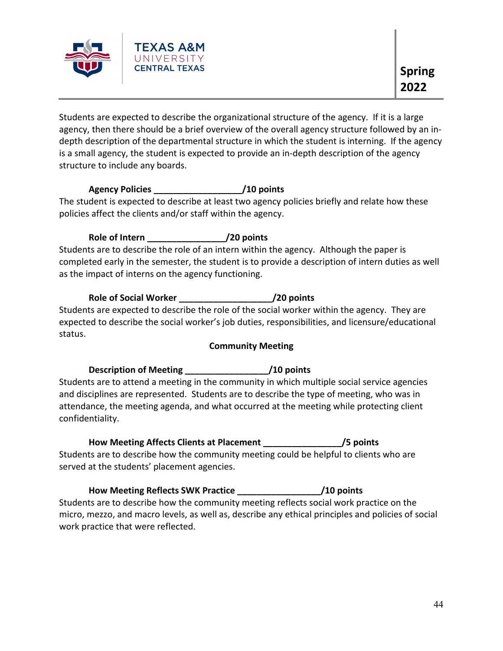

Students are expected to describe the organizational structure of the agency. If it is a large agency, then there should be a brief overview of the overall agency structure followed by an indepth description of the departmental structure in which the student is interning. If the agency is a small agency, the student is expected to provide an in-depth description of the agency structure to include any boards.

# **Agency Policies \_\_\_\_\_\_\_\_\_\_\_\_\_\_\_\_\_\_/10 points**

The student is expected to describe at least two agency policies briefly and relate how these policies affect the clients and/or staff within the agency.

**Role of Intern \_\_\_\_\_\_\_\_\_\_\_\_\_\_\_\_/20 points**

Students are to describe the role of an intern within the agency. Although the paper is completed early in the semester, the student is to provide a description of intern duties as well as the impact of interns on the agency functioning.

## **Role of Social Worker \_\_\_\_\_\_\_\_\_\_\_\_\_\_\_\_\_\_\_/20 points**

Students are expected to describe the role of the social worker within the agency. They are expected to describe the social worker's job duties, responsibilities, and licensure/educational status.

# **Community Meeting**

# **Description of Meeting \_\_\_\_\_\_\_\_\_\_\_\_\_\_\_\_\_/10 points**

Students are to attend a meeting in the community in which multiple social service agencies and disciplines are represented. Students are to describe the type of meeting, who was in attendance, the meeting agenda, and what occurred at the meeting while protecting client confidentiality.

**How Meeting Affects Clients at Placement \_\_\_\_\_\_\_\_\_\_\_\_\_\_\_\_/5 points**

Students are to describe how the community meeting could be helpful to clients who are served at the students' placement agencies.

**How Meeting Reflects SWK Practice \_\_\_\_\_\_\_\_\_\_\_\_\_\_\_\_\_/10 points** Students are to describe how the community meeting reflects social work practice on the micro, mezzo, and macro levels, as well as, describe any ethical principles and policies of social work practice that were reflected.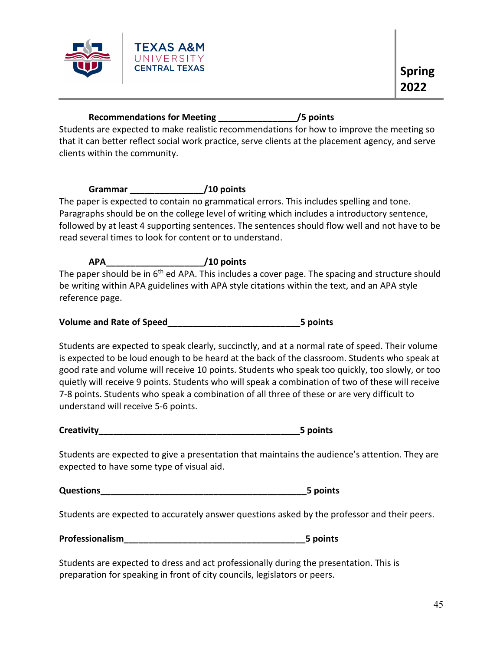

# **Recommendations for Meeting \_\_\_\_\_\_\_\_\_\_\_\_\_\_\_\_/5 points**

Students are expected to make realistic recommendations for how to improve the meeting so that it can better reflect social work practice, serve clients at the placement agency, and serve clients within the community.

#### **Grammar \_\_\_\_\_\_\_\_\_\_\_\_\_\_\_/10 points**

The paper is expected to contain no grammatical errors. This includes spelling and tone. Paragraphs should be on the college level of writing which includes a introductory sentence, followed by at least 4 supporting sentences. The sentences should flow well and not have to be read several times to look for content or to understand.

**APA\_\_\_\_\_\_\_\_\_\_\_\_\_\_\_\_\_\_\_\_/10 points** 

The paper should be in 6<sup>th</sup> ed APA. This includes a cover page. The spacing and structure should be writing within APA guidelines with APA style citations within the text, and an APA style reference page.

# **Volume and Rate of Speed\_\_\_\_\_\_\_\_\_\_\_\_\_\_\_\_\_\_\_\_\_\_\_\_\_\_\_5 points**

Students are expected to speak clearly, succinctly, and at a normal rate of speed. Their volume is expected to be loud enough to be heard at the back of the classroom. Students who speak at good rate and volume will receive 10 points. Students who speak too quickly, too slowly, or too quietly will receive 9 points. Students who will speak a combination of two of these will receive 7-8 points. Students who speak a combination of all three of these or are very difficult to understand will receive 5-6 points.

**Creativity\_\_\_\_\_\_\_\_\_\_\_\_\_\_\_\_\_\_\_\_\_\_\_\_\_\_\_\_\_\_\_\_\_\_\_\_\_\_\_\_\_5 points**

Students are expected to give a presentation that maintains the audience's attention. They are expected to have some type of visual aid.

**Questions\_\_\_\_\_\_\_\_\_\_\_\_\_\_\_\_\_\_\_\_\_\_\_\_\_\_\_\_\_\_\_\_\_\_\_\_\_\_\_\_\_\_5 points**

Students are expected to accurately answer questions asked by the professor and their peers.

| Professionalism | 5 points |
|-----------------|----------|
|-----------------|----------|

Students are expected to dress and act professionally during the presentation. This is preparation for speaking in front of city councils, legislators or peers.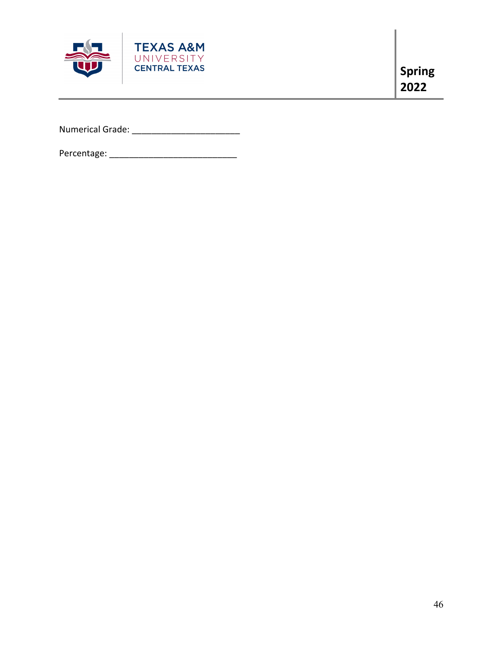

**Spring and Spring Spring 2022 2022**

Numerical Grade: \_\_\_\_\_\_\_\_\_\_\_\_\_\_\_\_\_\_\_\_\_\_

Percentage: \_\_\_\_\_\_\_\_\_\_\_\_\_\_\_\_\_\_\_\_\_\_\_\_\_\_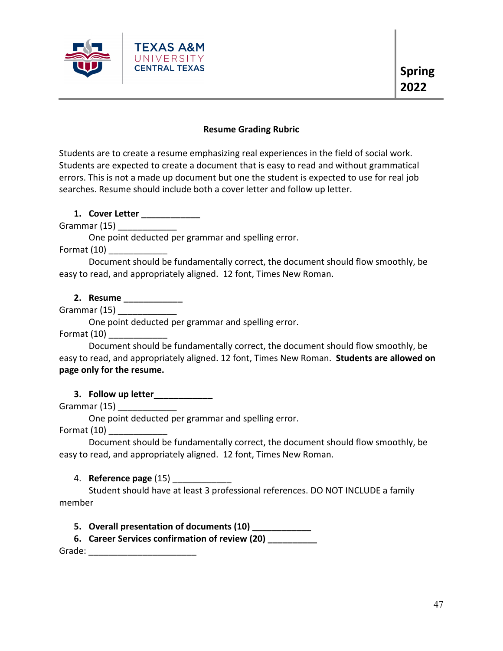

#### **Resume Grading Rubric**

Students are to create a resume emphasizing real experiences in the field of social work. Students are expected to create a document that is easy to read and without grammatical errors. This is not a made up document but one the student is expected to use for real job searches. Resume should include both a cover letter and follow up letter.

# **1. Cover Letter \_\_\_\_\_\_\_\_\_\_\_\_**

Grammar (15) \_\_\_\_\_\_\_\_\_\_\_\_

One point deducted per grammar and spelling error.

Format (10) \_\_\_\_\_\_\_\_\_\_\_\_

Document should be fundamentally correct, the document should flow smoothly, be easy to read, and appropriately aligned. 12 font, Times New Roman.

#### **2. Resume \_\_\_\_\_\_\_\_\_\_\_\_**

Grammar (15) \_\_\_\_\_\_\_\_\_\_\_\_

One point deducted per grammar and spelling error.

Format (10)

Document should be fundamentally correct, the document should flow smoothly, be easy to read, and appropriately aligned. 12 font, Times New Roman. **Students are allowed on page only for the resume.** 

**3. Follow up letter\_\_\_\_\_\_\_\_\_\_\_\_**

Grammar (15) \_\_\_\_\_\_\_\_\_\_\_\_

One point deducted per grammar and spelling error.

Format (10)

Document should be fundamentally correct, the document should flow smoothly, be easy to read, and appropriately aligned. 12 font, Times New Roman.

4. **Reference page** (15) \_\_\_\_\_\_\_\_\_\_\_\_

Student should have at least 3 professional references. DO NOT INCLUDE a family member

**5. Overall presentation of documents (10) \_\_\_\_\_\_\_\_\_\_\_\_**

**6. Career Services confirmation of review (20) \_\_\_\_\_\_\_\_\_\_**

Grade: \_\_\_\_\_\_\_\_\_\_\_\_\_\_\_\_\_\_\_\_\_\_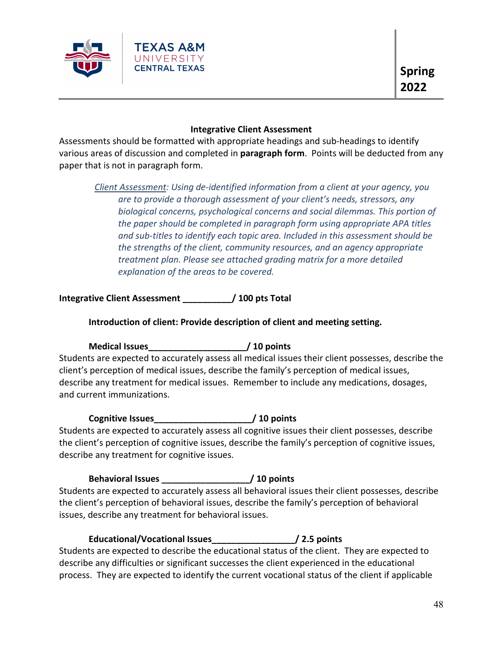

# **Integrative Client Assessment**

Assessments should be formatted with appropriate headings and sub-headings to identify various areas of discussion and completed in **paragraph form**. Points will be deducted from any paper that is not in paragraph form.

*Client Assessment: Using de-identified information from a client at your agency, you are to provide a thorough assessment of your client's needs, stressors, any biological concerns, psychological concerns and social dilemmas. This portion of the paper should be completed in paragraph form using appropriate APA titles and sub-titles to identify each topic area. Included in this assessment should be the strengths of the client, community resources, and an agency appropriate treatment plan. Please see attached grading matrix for a more detailed explanation of the areas to be covered.*

**Integrative Client Assessment \_\_\_\_\_\_\_\_\_\_/ 100 pts Total**

**Introduction of client: Provide description of client and meeting setting.** 

**Medical Issues\_\_\_\_\_\_\_\_\_\_\_\_\_\_\_\_\_\_\_\_/ 10 points**

Students are expected to accurately assess all medical issues their client possesses, describe the client's perception of medical issues, describe the family's perception of medical issues, describe any treatment for medical issues. Remember to include any medications, dosages, and current immunizations.

**Cognitive Issues\_\_\_\_\_\_\_\_\_\_\_\_\_\_\_\_\_\_\_\_/ 10 points**

Students are expected to accurately assess all cognitive issues their client possesses, describe the client's perception of cognitive issues, describe the family's perception of cognitive issues, describe any treatment for cognitive issues.

**Behavioral Issues \_\_\_\_\_\_\_\_\_\_\_\_\_\_\_\_\_\_/ 10 points**

Students are expected to accurately assess all behavioral issues their client possesses, describe the client's perception of behavioral issues, describe the family's perception of behavioral issues, describe any treatment for behavioral issues.

**Educational/Vocational Issues\_\_\_\_\_\_\_\_\_\_\_\_\_\_\_\_\_/ 2.5 points**

Students are expected to describe the educational status of the client. They are expected to describe any difficulties or significant successes the client experienced in the educational process. They are expected to identify the current vocational status of the client if applicable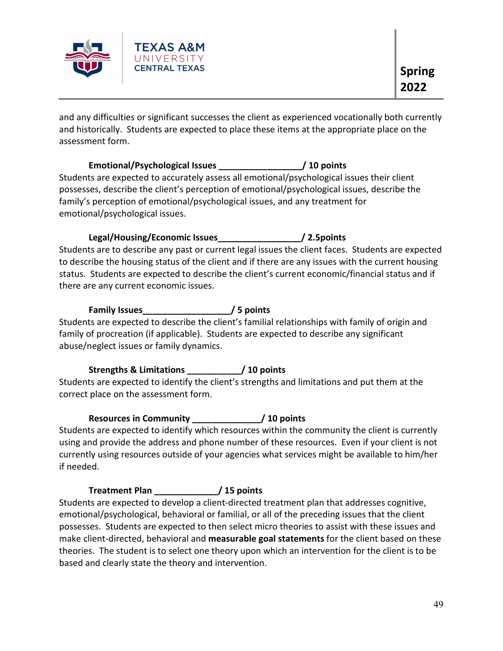

and any difficulties or significant successes the client as experienced vocationally both currently and historically. Students are expected to place these items at the appropriate place on the assessment form.

**Emotional/Psychological Issues \_\_\_\_\_\_\_\_\_\_\_\_\_\_\_\_\_/ 10 points** Students are expected to accurately assess all emotional/psychological issues their client possesses, describe the client's perception of emotional/psychological issues, describe the family's perception of emotional/psychological issues, and any treatment for emotional/psychological issues.

**Legal/Housing/Economic Issues\_\_\_\_\_\_\_\_\_\_\_\_\_\_\_\_\_/ 2.5points**

Students are to describe any past or current legal issues the client faces. Students are expected to describe the housing status of the client and if there are any issues with the current housing status. Students are expected to describe the client's current economic/financial status and if there are any current economic issues.

# **Family Issues\_\_\_\_\_\_\_\_\_\_\_\_\_\_\_\_\_\_/ 5 points**

Students are expected to describe the client's familial relationships with family of origin and family of procreation (if applicable). Students are expected to describe any significant abuse/neglect issues or family dynamics.

**Strengths & Limitations \_\_\_\_\_\_\_\_\_\_\_/ 10 points** Students are expected to identify the client's strengths and limitations and put them at the correct place on the assessment form.

# **Resources in Community \_\_\_\_\_\_\_\_\_\_\_\_\_\_/ 10 points**

Students are expected to identify which resources within the community the client is currently using and provide the address and phone number of these resources. Even if your client is not currently using resources outside of your agencies what services might be available to him/her if needed.

**Treatment Plan \_\_\_\_\_\_\_\_\_\_\_\_\_/ 15 points**

Students are expected to develop a client-directed treatment plan that addresses cognitive, emotional/psychological, behavioral or familial, or all of the preceding issues that the client possesses. Students are expected to then select micro theories to assist with these issues and make client-directed, behavioral and **measurable goal statements** for the client based on these theories. The student is to select one theory upon which an intervention for the client is to be based and clearly state the theory and intervention.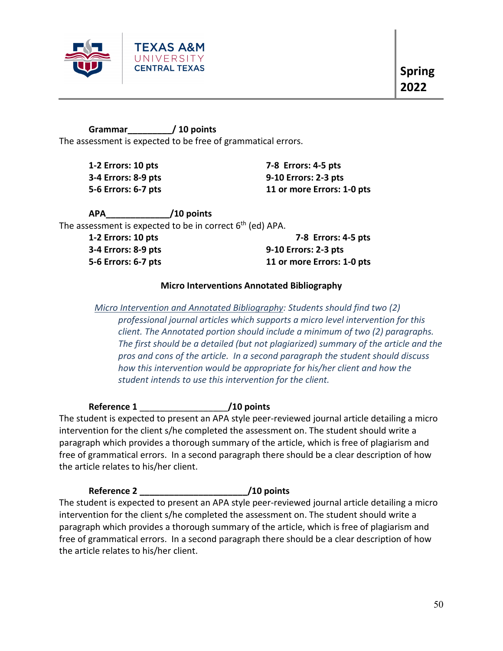

**Grammar\_\_\_\_\_\_\_\_\_/ 10 points** The assessment is expected to be free of grammatical errors.

**1-2 Errors: 10 pts 7-8 Errors: 4-5 pts 3-4 Errors: 8-9 pts 9-10 Errors: 2-3 pts 5-6 Errors: 6-7 pts 11 or more Errors: 1-0 pts**

**APA\_\_\_\_\_\_\_\_\_\_\_\_\_/10 points**  The assessment is expected to be in correct  $6<sup>th</sup>$  (ed) APA.

**1-2 Errors: 10 pts 7-8 Errors: 4-5 pts 3-4 Errors: 8-9 pts 9-10 Errors: 2-3 pts 5-6 Errors: 6-7 pts 11 or more Errors: 1-0 pts**

# **Micro Interventions Annotated Bibliography**

*Micro Intervention and Annotated Bibliography: Students should find two (2) professional journal articles which supports a micro level intervention for this client. The Annotated portion should include a minimum of two (2) paragraphs. The first should be a detailed (but not plagiarized) summary of the article and the pros and cons of the article. In a second paragraph the student should discuss how this intervention would be appropriate for his/her client and how the student intends to use this intervention for the client.*

# **Reference 1** \_\_\_\_\_\_\_\_\_\_\_\_\_\_\_\_\_\_**/10 points**

The student is expected to present an APA style peer-reviewed journal article detailing a micro intervention for the client s/he completed the assessment on. The student should write a paragraph which provides a thorough summary of the article, which is free of plagiarism and free of grammatical errors. In a second paragraph there should be a clear description of how the article relates to his/her client.

# **Reference 2 \_\_\_\_\_\_\_\_\_\_\_\_\_\_\_\_\_\_\_\_\_\_/10 points**

The student is expected to present an APA style peer-reviewed journal article detailing a micro intervention for the client s/he completed the assessment on. The student should write a paragraph which provides a thorough summary of the article, which is free of plagiarism and free of grammatical errors. In a second paragraph there should be a clear description of how the article relates to his/her client.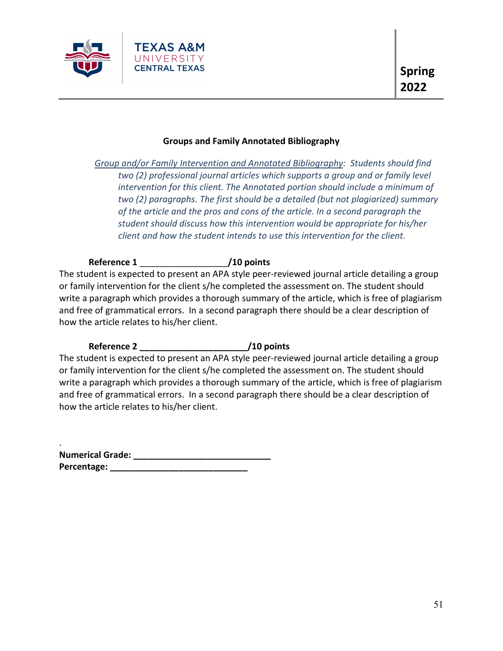

#### **Groups and Family Annotated Bibliography**

*Group and/or Family Intervention and Annotated Bibliography: Students should find two (2) professional journal articles which supports a group and or family level intervention for this client. The Annotated portion should include a minimum of two (2) paragraphs. The first should be a detailed (but not plagiarized) summary of the article and the pros and cons of the article. In a second paragraph the student should discuss how this intervention would be appropriate for his/her client and how the student intends to use this intervention for the client.* 

#### **Reference 1** \_\_\_\_\_\_\_\_\_\_\_\_\_\_\_\_\_\_**/10 points**

The student is expected to present an APA style peer-reviewed journal article detailing a group or family intervention for the client s/he completed the assessment on. The student should write a paragraph which provides a thorough summary of the article, which is free of plagiarism and free of grammatical errors. In a second paragraph there should be a clear description of how the article relates to his/her client.

#### **Reference 2 \_\_\_\_\_\_\_\_\_\_\_\_\_\_\_\_\_\_\_\_\_\_/10 points**

The student is expected to present an APA style peer-reviewed journal article detailing a group or family intervention for the client s/he completed the assessment on. The student should write a paragraph which provides a thorough summary of the article, which is free of plagiarism and free of grammatical errors. In a second paragraph there should be a clear description of how the article relates to his/her client.

| <b>Numerical Grade:</b> |  |
|-------------------------|--|
| Percentage:             |  |

.